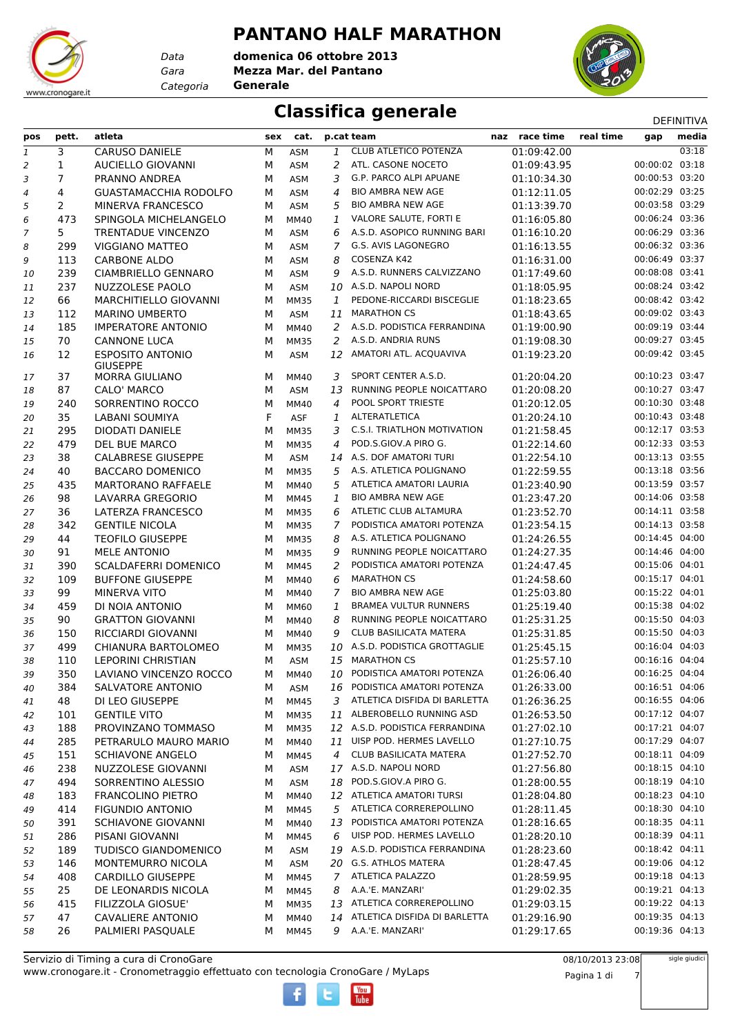# www.cronogare.it

*Data Categoria* **Generale**

**PANTANO HALF MARATHON** *Gara* **Mezza Mar. del Pantano domenica 06 ottobre 2013**



### **Classifica generale** DEFINITIVA

| pos | pett.          | atleta                                     | sex | cat.        |                | p.cat team                         | naz race time | real time | gap            | media |
|-----|----------------|--------------------------------------------|-----|-------------|----------------|------------------------------------|---------------|-----------|----------------|-------|
| 1   | 3              | <b>CARUSO DANIELE</b>                      | М   | <b>ASM</b>  | 1              | <b>CLUB ATLETICO POTENZA</b>       | 01:09:42.00   |           |                | 03:18 |
| 2   | 1              | <b>AUCIELLO GIOVANNI</b>                   | М   | <b>ASM</b>  | 2              | ATL. CASONE NOCETO                 | 01:09:43.95   |           | 00:00:02 03:18 |       |
| 3   | $\overline{7}$ | PRANNO ANDREA                              | М   | <b>ASM</b>  | 3              | G.P. PARCO ALPI APUANE             | 01:10:34.30   |           | 00:00:53 03:20 |       |
| 4   | 4              | <b>GUASTAMACCHIA RODOLFO</b>               | м   | <b>ASM</b>  | 4              | <b>BIO AMBRA NEW AGE</b>           | 01:12:11.05   |           | 00:02:29 03:25 |       |
| 5   | 2              | MINERVA FRANCESCO                          | М   | <b>ASM</b>  | 5              | <b>BIO AMBRA NEW AGE</b>           | 01:13:39.70   |           | 00:03:58 03:29 |       |
| 6   | 473            | SPINGOLA MICHELANGELO                      | М   | <b>MM40</b> | 1              | VALORE SALUTE, FORTI E             | 01:16:05.80   |           | 00:06:24 03:36 |       |
| 7   | 5              | <b>TRENTADUE VINCENZO</b>                  | М   | <b>ASM</b>  | 6              | A.S.D. ASOPICO RUNNING BARI        | 01:16:10.20   |           | 00:06:29 03:36 |       |
| 8   | 299            | <b>VIGGIANO MATTEO</b>                     | М   | ASM         | 7              | G.S. AVIS LAGONEGRO                | 01:16:13.55   |           | 00:06:32 03:36 |       |
| 9   | 113            | <b>CARBONE ALDO</b>                        | М   | <b>ASM</b>  | 8              | COSENZA K42                        | 01:16:31.00   |           | 00:06:49 03:37 |       |
| 10  | 239            | CIAMBRIELLO GENNARO                        | М   | <b>ASM</b>  | 9              | A.S.D. RUNNERS CALVIZZANO          | 01:17:49.60   |           | 00:08:08 03:41 |       |
| 11  | 237            | NUZZOLESE PAOLO                            | М   | <b>ASM</b>  | 10             | A.S.D. NAPOLI NORD                 | 01:18:05.95   |           | 00:08:24 03:42 |       |
| 12  | 66             | MARCHITIELLO GIOVANNI                      | М   | <b>MM35</b> | 1              | PEDONE-RICCARDI BISCEGLIE          | 01:18:23.65   |           | 00:08:42 03:42 |       |
| 13  | 112            | <b>MARINO UMBERTO</b>                      | М   | ASM         | 11             | <b>MARATHON CS</b>                 | 01:18:43.65   |           | 00:09:02 03:43 |       |
| 14  | 185            | <b>IMPERATORE ANTONIO</b>                  | М   | MM40        | 2              | A.S.D. PODISTICA FERRANDINA        | 01:19:00.90   |           | 00:09:19 03:44 |       |
| 15  | 70             | <b>CANNONE LUCA</b>                        | М   | <b>MM35</b> | 2              | A.S.D. ANDRIA RUNS                 | 01:19:08.30   |           | 00:09:27 03:45 |       |
| 16  | 12             | <b>ESPOSITO ANTONIO</b><br><b>GIUSEPPE</b> | М   | <b>ASM</b>  |                | 12 AMATORI ATL. ACQUAVIVA          | 01:19:23.20   |           | 00:09:42 03:45 |       |
| 17  | 37             | <b>MORRA GIULIANO</b>                      | м   | MM40        | 3              | SPORT CENTER A.S.D.                | 01:20:04.20   |           | 00:10:23 03:47 |       |
| 18  | 87             | CALO' MARCO                                | М   | ASM         | 13             | <b>RUNNING PEOPLE NOICATTARO</b>   | 01:20:08.20   |           | 00:10:27 03:47 |       |
| 19  | 240            | SORRENTINO ROCCO                           | М   | MM40        | 4              | <b>POOL SPORT TRIESTE</b>          | 01:20:12.05   |           | 00:10:30 03:48 |       |
| 20  | 35             | LABANI SOUMIYA                             | F   | <b>ASF</b>  | 1              | ALTERATLETICA                      | 01:20:24.10   |           | 00:10:43 03:48 |       |
| 21  | 295            | <b>DIODATI DANIELE</b>                     | М   | <b>MM35</b> | 3              | <b>C.S.I. TRIATLHON MOTIVATION</b> | 01:21:58.45   |           | 00:12:17 03:53 |       |
| 22  | 479            | DEL BUE MARCO                              | М   | <b>MM35</b> | $\overline{4}$ | POD.S.GIOV.A PIRO G.               | 01:22:14.60   |           | 00:12:33 03:53 |       |
| 23  | 38             | <b>CALABRESE GIUSEPPE</b>                  | М   | <b>ASM</b>  | 14             | A.S. DOF AMATORI TURI              | 01:22:54.10   |           | 00:13:13 03:55 |       |
| 24  | 40             | <b>BACCARO DOMENICO</b>                    | М   | <b>MM35</b> | 5              | A.S. ATLETICA POLIGNANO            | 01:22:59.55   |           | 00:13:18 03:56 |       |
| 25  | 435            | <b>MARTORANO RAFFAELE</b>                  | М   | MM40        | 5              | ATLETICA AMATORI LAURIA            | 01:23:40.90   |           | 00:13:59 03:57 |       |
| 26  | 98             | LAVARRA GREGORIO                           | М   | <b>MM45</b> | 1              | <b>BIO AMBRA NEW AGE</b>           | 01:23:47.20   |           | 00:14:06 03:58 |       |
| 27  | 36             | LATERZA FRANCESCO                          | М   | <b>MM35</b> | 6              | ATLETIC CLUB ALTAMURA              | 01:23:52.70   |           | 00:14:11 03:58 |       |
| 28  | 342            | <b>GENTILE NICOLA</b>                      | М   | <b>MM35</b> | $\overline{7}$ | PODISTICA AMATORI POTENZA          | 01:23:54.15   |           | 00:14:13 03:58 |       |
| 29  | 44             | <b>TEOFILO GIUSEPPE</b>                    | М   | <b>MM35</b> | 8              | A.S. ATLETICA POLIGNANO            | 01:24:26.55   |           | 00:14:45 04:00 |       |
| 30  | 91             | <b>MELE ANTONIO</b>                        | М   | <b>MM35</b> | 9              | RUNNING PEOPLE NOICATTARO          | 01:24:27.35   |           | 00:14:46 04:00 |       |
| 31  | 390            | SCALDAFERRI DOMENICO                       | м   | MM45        | 2              | PODISTICA AMATORI POTENZA          | 01:24:47.45   |           | 00:15:06 04:01 |       |
| 32  | 109            | <b>BUFFONE GIUSEPPE</b>                    | м   | MM40        | 6              | <b>MARATHON CS</b>                 | 01:24:58.60   |           | 00:15:17 04:01 |       |
| 33  | 99             | <b>MINERVA VITO</b>                        | М   | MM40        | 7              | <b>BIO AMBRA NEW AGE</b>           | 01:25:03.80   |           | 00:15:22 04:01 |       |
| 34  | 459            | DI NOIA ANTONIO                            | М   | <b>MM60</b> | 1              | <b>BRAMEA VULTUR RUNNERS</b>       | 01:25:19.40   |           | 00:15:38 04:02 |       |
| 35  | 90             | <b>GRATTON GIOVANNI</b>                    | М   | MM40        | 8              | RUNNING PEOPLE NOICATTARO          | 01:25:31.25   |           | 00:15:50 04:03 |       |
| 36  | 150            | RICCIARDI GIOVANNI                         | М   | MM40        | 9              | <b>CLUB BASILICATA MATERA</b>      | 01:25:31.85   |           | 00:15:50 04:03 |       |
| 37  | 499            | CHIANURA BARTOLOMEO                        | м   | <b>MM35</b> | 10             | A.S.D. PODISTICA GROTTAGLIE        | 01:25:45.15   |           | 00:16:04 04:03 |       |
| 38  | 110            | <b>LEPORINI CHRISTIAN</b>                  | М   | <b>ASM</b>  | 15             | <b>MARATHON CS</b>                 | 01:25:57.10   |           | 00:16:16 04:04 |       |
| 39  | 350            | LAVIANO VINCENZO ROCCO                     | м   | <b>MM40</b> | 10             | PODISTICA AMATORI POTENZA          | 01:26:06.40   |           | 00:16:25 04:04 |       |
| 40  | 384            | SALVATORE ANTONIO                          | М   | ASM         | 16             | PODISTICA AMATORI POTENZA          | 01:26:33.00   |           | 00:16:51 04:06 |       |
| 41  | 48             | DI LEO GIUSEPPE                            | м   | MM45        | 3              | ATLETICA DISFIDA DI BARLETTA       | 01:26:36.25   |           | 00:16:55 04:06 |       |
| 42  | 101            | <b>GENTILE VITO</b>                        | м   | <b>MM35</b> | 11             | ALBEROBELLO RUNNING ASD            | 01:26:53.50   |           | 00:17:12 04:07 |       |
| 43  | 188            | PROVINZANO TOMMASO                         | М   | <b>MM35</b> |                | 12 A.S.D. PODISTICA FERRANDINA     | 01:27:02.10   |           | 00:17:21 04:07 |       |
| 44  | 285            | PETRARULO MAURO MARIO                      | М   | <b>MM40</b> |                | 11 UISP POD. HERMES LAVELLO        | 01:27:10.75   |           | 00:17:29 04:07 |       |
| 45  | 151            | <b>SCHIAVONE ANGELO</b>                    | М   | <b>MM45</b> | 4              | CLUB BASILICATA MATERA             | 01:27:52.70   |           | 00:18:11 04:09 |       |
| 46  | 238            | NUZZOLESE GIOVANNI                         | М   | ASM         |                | 17 A.S.D. NAPOLI NORD              | 01:27:56.80   |           | 00:18:15 04:10 |       |
| 47  | 494            | SORRENTINO ALESSIO                         | М   | ASM         | 18             | POD.S.GIOV.A PIRO G.               | 01:28:00.55   |           | 00:18:19 04:10 |       |
| 48  | 183            | <b>FRANCOLINO PIETRO</b>                   | м   | MM40        |                | 12 ATLETICA AMATORI TURSI          | 01:28:04.80   |           | 00:18:23 04:10 |       |
| 49  | 414            | <b>FIGUNDIO ANTONIO</b>                    | м   | MM45        | 5              | ATLETICA CORREREPOLLINO            | 01:28:11.45   |           | 00:18:30 04:10 |       |
| 50  | 391            | <b>SCHIAVONE GIOVANNI</b>                  | М   | MM40        | 13             | PODISTICA AMATORI POTENZA          | 01:28:16.65   |           | 00:18:35 04:11 |       |
| 51  | 286            | PISANI GIOVANNI                            | М   | <b>MM45</b> | 6              | UISP POD. HERMES LAVELLO           | 01:28:20.10   |           | 00:18:39 04:11 |       |
| 52  | 189            | <b>TUDISCO GIANDOMENICO</b>                | М   | <b>ASM</b>  | 19             | A.S.D. PODISTICA FERRANDINA        | 01:28:23.60   |           | 00:18:42 04:11 |       |
| 53  | 146            | MONTEMURRO NICOLA                          | М   | ASM         |                | 20 G.S. ATHLOS MATERA              | 01:28:47.45   |           | 00:19:06 04:12 |       |
| 54  | 408            | <b>CARDILLO GIUSEPPE</b>                   | м   | MM45        | $\overline{7}$ | ATLETICA PALAZZO                   | 01:28:59.95   |           | 00:19:18 04:13 |       |
| 55  | 25             | DE LEONARDIS NICOLA                        | М   | MM45        | 8              | A.A.'E. MANZARI'                   | 01:29:02.35   |           | 00:19:21 04:13 |       |
| 56  | 415            | FILIZZOLA GIOSUE'                          | М   | MM35        |                | 13 ATLETICA CORREREPOLLINO         | 01:29:03.15   |           | 00:19:22 04:13 |       |
| 57  | 47             | <b>CAVALIERE ANTONIO</b>                   | М   | MM40        | 14             | ATLETICA DISFIDA DI BARLETTA       | 01:29:16.90   |           | 00:19:35 04:13 |       |
| 58  | 26             | PALMIERI PASQUALE                          | м   | <b>MM45</b> | 9              | A.A.'E. MANZARI'                   | 01:29:17.65   |           | 00:19:36 04:13 |       |

 $\overline{\text{I}}$ <sub>uha</sub>

08/10/2013 23:08 Pagina 1 di 7 sigle giudici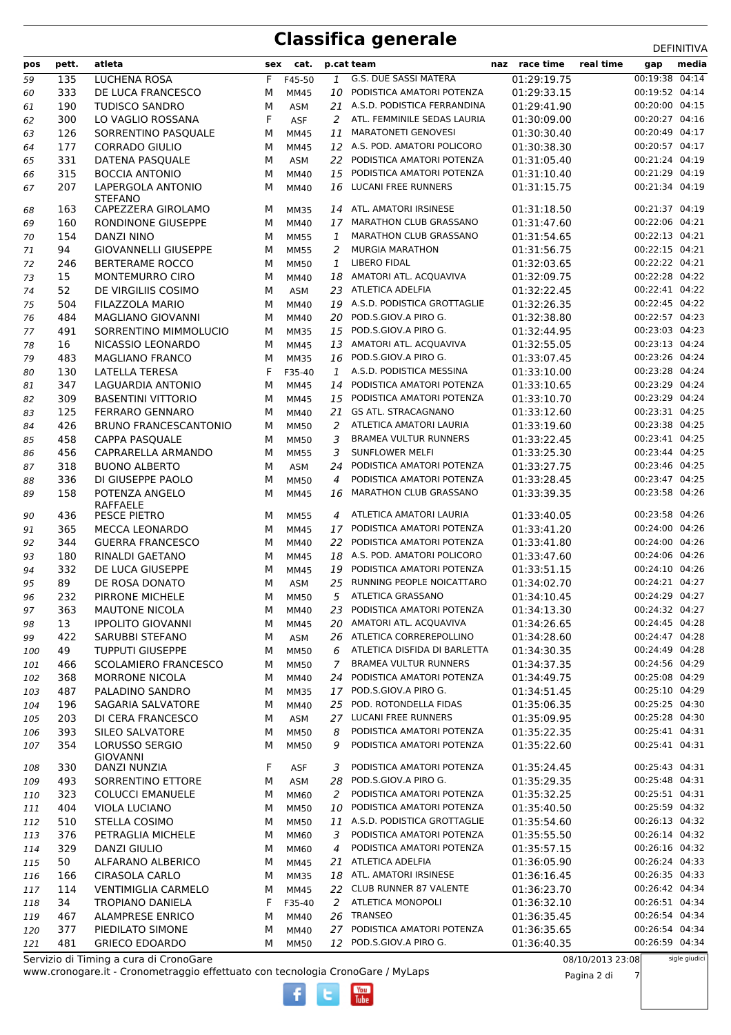| pos        | pett.      | atleta                                             |        | sex cat.            |              | p.cat team                                            | naz race time              | real time<br>gap                 | ᅛᄂᆝᄞᅁᄓᅚᄸ<br>media |
|------------|------------|----------------------------------------------------|--------|---------------------|--------------|-------------------------------------------------------|----------------------------|----------------------------------|-------------------|
| 59         | 135        | <b>LUCHENA ROSA</b>                                | F      | F45-50              | $\mathbf{1}$ | <b>G.S. DUE SASSI MATERA</b>                          | 01:29:19.75                | 00:19:38 04:14                   |                   |
| 60         | 333        | DE LUCA FRANCESCO                                  | M      | <b>MM45</b>         | 10           | PODISTICA AMATORI POTENZA                             | 01:29:33.15                | 00:19:52 04:14                   |                   |
| 61         | 190        | <b>TUDISCO SANDRO</b>                              | M      | ASM                 | 21           | A.S.D. PODISTICA FERRANDINA                           | 01:29:41.90                | 00:20:00 04:15                   |                   |
| 62         | 300        | LO VAGLIO ROSSANA                                  | F      | <b>ASF</b>          |              | 2 ATL. FEMMINILE SEDAS LAURIA                         | 01:30:09.00                | 00:20:27 04:16                   |                   |
| 63         | 126        | SORRENTINO PASOUALE                                | М      | <b>MM45</b>         | 11           | <b>MARATONETI GENOVESI</b>                            | 01:30:30.40                | 00:20:49 04:17                   |                   |
| 64         | 177        | <b>CORRADO GIULIO</b>                              | M      | <b>MM45</b>         | 12           | A.S. POD. AMATORI POLICORO                            | 01:30:38.30                | 00:20:57 04:17                   |                   |
| 65         | 331        | DATENA PASQUALE                                    | M      | ASM                 | 22           | PODISTICA AMATORI POTENZA                             | 01:31:05.40                | 00:21:24 04:19                   |                   |
| 66         | 315        | <b>BOCCIA ANTONIO</b>                              | M      | MM40                | 15           | PODISTICA AMATORI POTENZA                             | 01:31:10.40                | 00:21:29 04:19                   |                   |
| 67         | 207        | LAPERGOLA ANTONIO                                  | M      | MM40                | 16           | <b>LUCANI FREE RUNNERS</b>                            | 01:31:15.75                | 00:21:34 04:19                   |                   |
|            |            | <b>STEFANO</b>                                     |        |                     | 14           | ATL. AMATORI IRSINESE                                 |                            | 00:21:37 04:19                   |                   |
| 68         | 163<br>160 | CAPEZZERA GIROLAMO<br>RONDINONE GIUSEPPE           | M<br>M | <b>MM35</b><br>MM40 | 17           | <b>MARATHON CLUB GRASSANO</b>                         | 01:31:18.50<br>01:31:47.60 | 00:22:06 04:21                   |                   |
| 69         | 154        | DANZI NINO                                         | м      | <b>MM55</b>         | 1            | <b>MARATHON CLUB GRASSANO</b>                         | 01:31:54.65                | 00:22:13 04:21                   |                   |
| 70<br>71   | 94         | <b>GIOVANNELLI GIUSEPPE</b>                        | M      | <b>MM55</b>         | 2            | <b>MURGIA MARATHON</b>                                | 01:31:56.75                | 00:22:15 04:21                   |                   |
| 72         | 246        | <b>BERTERAME ROCCO</b>                             | М      | <b>MM50</b>         | 1            | <b>LIBERO FIDAL</b>                                   | 01:32:03.65                | 00:22:22 04:21                   |                   |
| 73         | 15         | <b>MONTEMURRO CIRO</b>                             | М      | <b>MM40</b>         | 18           | AMATORI ATL. ACQUAVIVA                                | 01:32:09.75                | 00:22:28 04:22                   |                   |
| 74         | 52         | DE VIRGILIIS COSIMO                                | M      | ASM                 | 23           | <b>ATLETICA ADELFIA</b>                               | 01:32:22.45                | 00:22:41 04:22                   |                   |
| 75         | 504        | FILAZZOLA MARIO                                    | M      | MM40                | 19           | A.S.D. PODISTICA GROTTAGLIE                           | 01:32:26.35                | 00:22:45 04:22                   |                   |
| 76         | 484        | <b>MAGLIANO GIOVANNI</b>                           | М      | MM40                | 20           | POD.S.GIOV.A PIRO G.                                  | 01:32:38.80                | 00:22:57 04:23                   |                   |
| 77         | 491        | SORRENTINO MIMMOLUCIO                              | M      | <b>MM35</b>         | 15           | POD.S.GIOV.A PIRO G.                                  | 01:32:44.95                | 00:23:03 04:23                   |                   |
| 78         | 16         | NICASSIO LEONARDO                                  | M      | <b>MM45</b>         | 13           | AMATORI ATL. ACQUAVIVA                                | 01:32:55.05                | 00:23:13 04:24                   |                   |
| 79         | 483        | <b>MAGLIANO FRANCO</b>                             | М      | <b>MM35</b>         | 16           | POD.S.GIOV.A PIRO G.                                  | 01:33:07.45                | 00:23:26 04:24                   |                   |
| 80         | 130        | <b>LATELLA TERESA</b>                              | F      | F35-40              | 1            | A.S.D. PODISTICA MESSINA                              | 01:33:10.00                | 00:23:28 04:24                   |                   |
| 81         | 347        | LAGUARDIA ANTONIO                                  | M      | <b>MM45</b>         | 14           | PODISTICA AMATORI POTENZA                             | 01:33:10.65                | 00:23:29 04:24                   |                   |
| 82         | 309        | <b>BASENTINI VITTORIO</b>                          | M      | <b>MM45</b>         | 15           | PODISTICA AMATORI POTENZA                             | 01:33:10.70                | 00:23:29 04:24                   |                   |
| 83         | 125        | <b>FERRARO GENNARO</b>                             | м      | MM40                | 21           | GS ATL. STRACAGNANO                                   | 01:33:12.60                | 00:23:31 04:25                   |                   |
| 84         | 426        | <b>BRUNO FRANCESCANTONIO</b>                       | M      | <b>MM50</b>         | 2            | ATLETICA AMATORI LAURIA                               | 01:33:19.60                | 00:23:38 04:25                   |                   |
| 85         | 458        | CAPPA PASQUALE                                     | M      | <b>MM50</b>         | 3            | <b>BRAMEA VULTUR RUNNERS</b>                          | 01:33:22.45                | 00:23:41 04:25                   |                   |
| 86         | 456        | CAPRARELLA ARMANDO                                 | M      | <b>MM55</b>         | 3            | <b>SUNFLOWER MELFI</b>                                | 01:33:25.30                | 00:23:44 04:25                   |                   |
| 87         | 318        | <b>BUONO ALBERTO</b>                               | M      | ASM                 | 24           | PODISTICA AMATORI POTENZA                             | 01:33:27.75                | 00:23:46 04:25                   |                   |
| 88         | 336        | DI GIUSEPPE PAOLO                                  | М      | <b>MM50</b>         | 4            | PODISTICA AMATORI POTENZA                             | 01:33:28.45                | 00:23:47 04:25                   |                   |
| 89         | 158        | POTENZA ANGELO                                     | M      | MM45                | 16           | MARATHON CLUB GRASSANO                                | 01:33:39.35                | 00:23:58 04:26                   |                   |
|            |            | RAFFAELE                                           |        |                     |              |                                                       |                            |                                  |                   |
| 90         | 436        | PESCE PIETRO                                       | м      | <b>MM55</b>         | 4            | ATLETICA AMATORI LAURIA                               | 01:33:40.05                | 00:23:58 04:26                   |                   |
| 91         | 365        | <b>MECCA LEONARDO</b>                              | М      | MM45                | 17           | PODISTICA AMATORI POTENZA                             | 01:33:41.20                | 00:24:00 04:26                   |                   |
| 92         | 344        | <b>GUERRA FRANCESCO</b>                            | M      | MM40                | 22           | PODISTICA AMATORI POTENZA                             | 01:33:41.80                | 00:24:00 04:26                   |                   |
| 93         | 180        | RINALDI GAETANO                                    | M      | MM45                | 18           | A.S. POD. AMATORI POLICORO                            | 01:33:47.60                | 00:24:06 04:26                   |                   |
| 94         | 332        | DE LUCA GIUSEPPE                                   | M      | <b>MM45</b>         | 19           | PODISTICA AMATORI POTENZA                             | 01:33:51.15                | 00:24:10 04:26<br>00:24:21 04:27 |                   |
| 95         | 89         | DE ROSA DONATO                                     | м      | <b>ASM</b>          | 25           | RUNNING PEOPLE NOICATTARO<br><b>ATLETICA GRASSANO</b> | 01:34:02.70                | 00:24:29 04:27                   |                   |
| 96         | 232        | PIRRONE MICHELE                                    | М      | <b>MM50</b>         | 5            |                                                       | 01:34:10.45                |                                  |                   |
| 97         | 363        | <b>MAUTONE NICOLA</b>                              | M      | MM40                | 23           | PODISTICA AMATORI POTENZA<br>AMATORI ATL. ACQUAVIVA   | 01:34:13.30                | 00:24:32 04:27<br>00:24:45 04:28 |                   |
| 98         | 13         | <b>IPPOLITO GIOVANNI</b><br><b>SARUBBI STEFANO</b> | М      | <b>MM45</b>         | 20<br>26     | ATLETICA CORREREPOLLINO                               | 01:34:26.65                | 00:24:47 04:28                   |                   |
| 99         | 422<br>49  | <b>TUPPUTI GIUSEPPE</b>                            | М<br>М | ASM<br><b>MM50</b>  | 6            | ATLETICA DISFIDA DI BARLETTA                          | 01:34:28.60<br>01:34:30.35 | 00:24:49 04:28                   |                   |
| 100<br>101 | 466        | <b>SCOLAMIERO FRANCESCO</b>                        | М      | <b>MM50</b>         | 7            | <b>BRAMEA VULTUR RUNNERS</b>                          | 01:34:37.35                | 00:24:56 04:29                   |                   |
| 102        | 368        | <b>MORRONE NICOLA</b>                              | М      | MM40                | 24           | PODISTICA AMATORI POTENZA                             | 01:34:49.75                | 00:25:08 04:29                   |                   |
| 103        | 487        | PALADINO SANDRO                                    | М      | <b>MM35</b>         | 17           | POD.S.GIOV.A PIRO G.                                  | 01:34:51.45                | 00:25:10 04:29                   |                   |
| 104        | 196        | SAGARIA SALVATORE                                  | M      | MM40                | 25           | POD. ROTONDELLA FIDAS                                 | 01:35:06.35                | 00:25:25 04:30                   |                   |
| 105        | 203        | DI CERA FRANCESCO                                  | М      | ASM                 | 27           | <b>LUCANI FREE RUNNERS</b>                            | 01:35:09.95                | 00:25:28 04:30                   |                   |
| 106        | 393        | SILEO SALVATORE                                    | М      | <b>MM50</b>         | 8            | PODISTICA AMATORI POTENZA                             | 01:35:22.35                | 00:25:41 04:31                   |                   |
| 107        | 354        | <b>LORUSSO SERGIO</b>                              | М      | MM50                | 9            | PODISTICA AMATORI POTENZA                             | 01:35:22.60                | 00:25:41 04:31                   |                   |
|            |            | <b>GIOVANNI</b>                                    |        |                     |              |                                                       |                            |                                  |                   |
| 108        | 330        | DANZI NUNZIA                                       | F      | ASF                 | 3            | PODISTICA AMATORI POTENZA                             | 01:35:24.45                | 00:25:43 04:31                   |                   |
| 109        | 493        | SORRENTINO ETTORE                                  | М      | ASM                 | 28           | POD.S.GIOV.A PIRO G.                                  | 01:35:29.35                | 00:25:48 04:31                   |                   |
| 110        | 323        | <b>COLUCCI EMANUELE</b>                            | М      | <b>MM60</b>         | 2            | PODISTICA AMATORI POTENZA                             | 01:35:32.25                | 00:25:51 04:31                   |                   |
| 111        | 404        | VIOLA LUCIANO                                      | M      | <b>MM50</b>         | 10           | PODISTICA AMATORI POTENZA                             | 01:35:40.50                | 00:25:59 04:32                   |                   |
| 112        | 510        | STELLA COSIMO                                      | М      | <b>MM50</b>         | 11           | A.S.D. PODISTICA GROTTAGLIE                           | 01:35:54.60                | 00:26:13 04:32                   |                   |
| 113        | 376        | PETRAGLIA MICHELE                                  | М      | MM60                | 3            | PODISTICA AMATORI POTENZA                             | 01:35:55.50                | 00:26:14 04:32                   |                   |
| 114        | 329        | <b>DANZI GIULIO</b>                                | М      | MM60                | 4            | PODISTICA AMATORI POTENZA                             | 01:35:57.15                | 00:26:16 04:32                   |                   |
| 115        | 50         | ALFARANO ALBERICO                                  | М      | MM45                | 21           | ATLETICA ADELFIA                                      | 01:36:05.90                | 00:26:24 04:33                   |                   |
| 116        | 166        | <b>CIRASOLA CARLO</b>                              | М      | <b>MM35</b>         | 18           | ATL. AMATORI IRSINESE                                 | 01:36:16.45                | 00:26:35 04:33                   |                   |
| 117        | 114        | <b>VENTIMIGLIA CARMELO</b>                         | М      | MM45                |              | 22 CLUB RUNNER 87 VALENTE                             | 01:36:23.70                | 00:26:42 04:34                   |                   |
| 118        | 34         | <b>TROPIANO DANIELA</b>                            | F      | F35-40              | 2            | <b>ATLETICA MONOPOLI</b>                              | 01:36:32.10                | 00:26:51 04:34                   |                   |
| 119        | 467        | <b>ALAMPRESE ENRICO</b>                            | М      | MM40                | 26           | TRANSEO                                               | 01:36:35.45                | 00:26:54 04:34                   |                   |
| 120        | 377        | PIEDILATO SIMONE                                   | М      | <b>MM40</b>         | 27           | PODISTICA AMATORI POTENZA                             | 01:36:35.65                | 00:26:54 04:34                   |                   |
| 121        | 481        | <b>GRIECO EDOARDO</b>                              | М      | <b>MM50</b>         |              | 12 POD.S.GIOV.A PIRO G.                               | 01:36:40.35                | 00:26:59 04:34                   |                   |

 $\frac{\text{Vou}}{\text{Iube}}$ 

www.cronogare.it - Cronometraggio effettuato con tecnologia CronoGare / MyLaps Servizio di Timing a cura di CronoGare

Pagina 2 di 7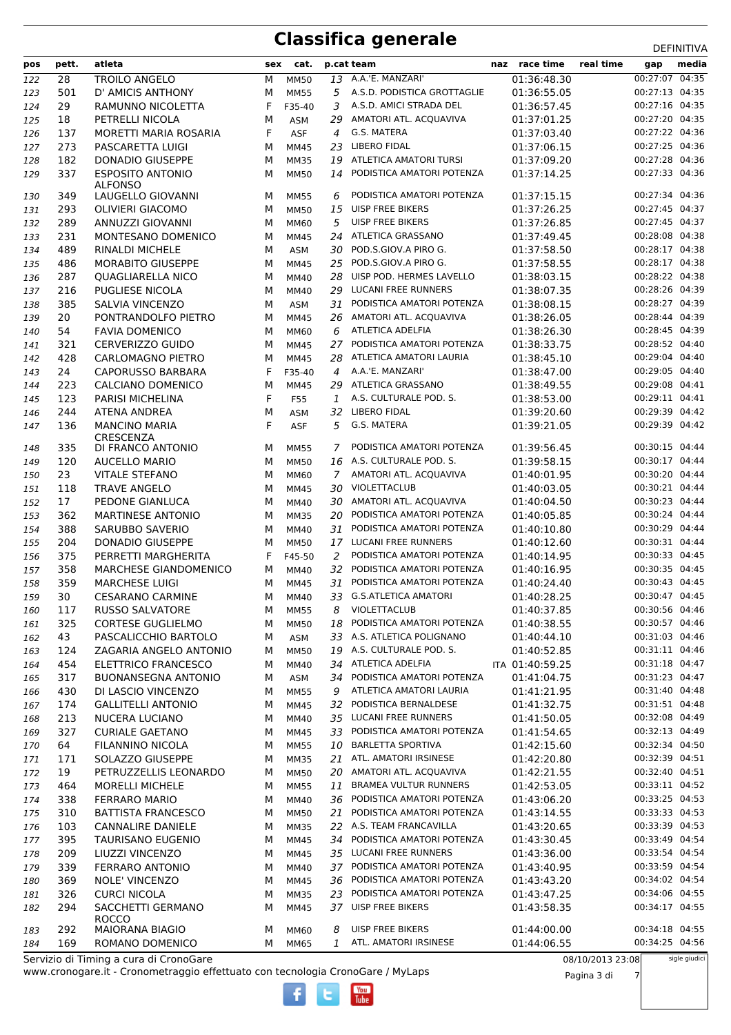| pos        | pett.      | atleta                                        | sex    | cat.                |                | p.cat team                                          | naz race time              | real time        | gap                              | media         |
|------------|------------|-----------------------------------------------|--------|---------------------|----------------|-----------------------------------------------------|----------------------------|------------------|----------------------------------|---------------|
| 122        | 28         | <b>TROILO ANGELO</b>                          | M      | <b>MM50</b>         | 13             | A.A.'E. MANZARI'                                    | 01:36:48.30                |                  | 00:27:07 04:35                   |               |
| 123        | 501        | D' AMICIS ANTHONY                             | M      | <b>MM55</b>         | 5              | A.S.D. PODISTICA GROTTAGLIE                         | 01:36:55.05                |                  | 00:27:13 04:35                   |               |
| 124        | 29         | RAMUNNO NICOLETTA                             | F      | F35-40              | 3              | A.S.D. AMICI STRADA DEL                             | 01:36:57.45                |                  | 00:27:16 04:35                   |               |
| 125        | 18         | PETRELLI NICOLA                               | M      | <b>ASM</b>          | 29             | AMATORI ATL. ACQUAVIVA                              | 01:37:01.25                |                  | 00:27:20 04:35                   |               |
| 126        | 137        | MORETTI MARIA ROSARIA                         | F      | <b>ASF</b>          | 4              | G.S. MATERA                                         | 01:37:03.40                |                  | 00:27:22 04:36                   |               |
| 127        | 273        | PASCARETTA LUIGI                              | М      | <b>MM45</b>         | 23             | <b>LIBERO FIDAL</b>                                 | 01:37:06.15                |                  | 00:27:25 04:36                   |               |
| 128        | 182        | <b>DONADIO GIUSEPPE</b>                       | М      | <b>MM35</b>         | 19             | ATLETICA AMATORI TURSI                              | 01:37:09.20                |                  | 00:27:28 04:36                   |               |
| 129        | 337        | <b>ESPOSITO ANTONIO</b>                       | M      | <b>MM50</b>         | 14             | PODISTICA AMATORI POTENZA                           | 01:37:14.25                |                  | 00:27:33 04:36                   |               |
| 130        | 349        | <b>ALFONSO</b><br>LAUGELLO GIOVANNI           | м      | <b>MM55</b>         | 6              | PODISTICA AMATORI POTENZA                           | 01:37:15.15                |                  | 00:27:34 04:36                   |               |
| 131        | 293        | <b>OLIVIERI GIACOMO</b>                       | M      | <b>MM50</b>         | 15             | <b>UISP FREE BIKERS</b>                             | 01:37:26.25                |                  | 00:27:45 04:37                   |               |
| 132        | 289        | ANNUZZI GIOVANNI                              | M      | MM60                | 5              | <b>UISP FREE BIKERS</b>                             | 01:37:26.85                |                  | 00:27:45 04:37                   |               |
| 133        | 231        | MONTESANO DOMENICO                            | М      | MM45                | 24             | ATLETICA GRASSANO                                   | 01:37:49.45                |                  | 00:28:08 04:38                   |               |
| 134        | 489        | RINALDI MICHELE                               | М      | <b>ASM</b>          | 30             | POD.S.GIOV.A PIRO G.                                | 01:37:58.50                |                  | 00:28:17 04:38                   |               |
| 135        | 486        | <b>MORABITO GIUSEPPE</b>                      | М      | MM45                | 25             | POD.S.GIOV.A PIRO G.                                | 01:37:58.55                |                  | 00:28:17 04:38                   |               |
| 136        | 287        | <b>QUAGLIARELLA NICO</b>                      | М      | MM40                | 28             | UISP POD. HERMES LAVELLO                            | 01:38:03.15                |                  | 00:28:22 04:38                   |               |
| 137        | 216        | PUGLIESE NICOLA                               | M      | MM40                | 29             | LUCANI FREE RUNNERS                                 | 01:38:07.35                |                  | 00:28:26 04:39                   |               |
| 138        | 385        | SALVIA VINCENZO                               | M      | ASM                 | 31             | PODISTICA AMATORI POTENZA                           | 01:38:08.15                |                  | 00:28:27 04:39                   |               |
| 139        | 20         | PONTRANDOLFO PIETRO                           | М      | <b>MM45</b>         | 26             | AMATORI ATL. ACQUAVIVA                              | 01:38:26.05                |                  | 00:28:44 04:39                   |               |
| 140        | 54         | <b>FAVIA DOMENICO</b>                         | М      | MM60                | 6              | <b>ATLETICA ADELFIA</b>                             | 01:38:26.30                |                  | 00:28:45 04:39                   |               |
| 141        | 321        | <b>CERVERIZZO GUIDO</b>                       | M      | <b>MM45</b>         | 27             | PODISTICA AMATORI POTENZA                           | 01:38:33.75                |                  | 00:28:52 04:40                   |               |
| 142        | 428        | <b>CARLOMAGNO PIETRO</b>                      | M      | <b>MM45</b>         | 28             | ATLETICA AMATORI LAURIA                             | 01:38:45.10                |                  | 00:29:04 04:40                   |               |
| 143        | 24         | <b>CAPORUSSO BARBARA</b>                      | F      | F35-40              | 4              | A.A.'E. MANZARI'                                    | 01:38:47.00                |                  | 00:29:05 04:40                   |               |
| 144        | 223        | CALCIANO DOMENICO                             | M      | MM45                | 29             | ATLETICA GRASSANO                                   | 01:38:49.55                |                  | 00:29:08 04:41                   |               |
| 145        | 123        | PARISI MICHELINA                              | F      | F55                 | 1              | A.S. CULTURALE POD. S.                              | 01:38:53.00                |                  | 00:29:11 04:41                   |               |
| 146        | 244        | <b>ATENA ANDREA</b>                           | М      | <b>ASM</b>          | 32             | <b>LIBERO FIDAL</b>                                 | 01:39:20.60                |                  | 00:29:39 04:42                   |               |
| 147        | 136        | <b>MANCINO MARIA</b>                          | F      | <b>ASF</b>          | 5              | G.S. MATERA                                         | 01:39:21.05                |                  | 00:29:39 04:42                   |               |
|            |            | CRESCENZA                                     |        |                     |                | PODISTICA AMATORI POTENZA                           |                            |                  |                                  |               |
| 148        | 335        | DI FRANCO ANTONIO                             | М      | <b>MM55</b>         | 7              | 16 A.S. CULTURALE POD. S.                           | 01:39:56.45<br>01:39:58.15 |                  | 00:30:15 04:44<br>00:30:17 04:44 |               |
| 149        | 120<br>23  | <b>AUCELLO MARIO</b><br><b>VITALE STEFANO</b> | м<br>M | <b>MM50</b>         | $\overline{7}$ | AMATORI ATL. ACQUAVIVA                              | 01:40:01.95                |                  | 00:30:20 04:44                   |               |
| 150<br>151 | 118        | <b>TRAVE ANGELO</b>                           | М      | MM60<br>MM45        | 30             | VIOLETTACLUB                                        | 01:40:03.05                |                  | 00:30:21 04:44                   |               |
| 152        | 17         | PEDONE GIANLUCA                               | М      | MM40                | 30             | AMATORI ATL. ACQUAVIVA                              | 01:40:04.50                |                  | 00:30:23 04:44                   |               |
| 153        | 362        | <b>MARTINESE ANTONIO</b>                      | М      | <b>MM35</b>         | 20             | PODISTICA AMATORI POTENZA                           | 01:40:05.85                |                  | 00:30:24 04:44                   |               |
| 154        | 388        | <b>SARUBBO SAVERIO</b>                        | M      | MM40                | 31             | PODISTICA AMATORI POTENZA                           | 01:40:10.80                |                  | 00:30:29 04:44                   |               |
| 155        | 204        | <b>DONADIO GIUSEPPE</b>                       | M      | <b>MM50</b>         | 17             | <b>LUCANI FREE RUNNERS</b>                          | 01:40:12.60                |                  | 00:30:31 04:44                   |               |
| 156        | 375        | PERRETTI MARGHERITA                           | F      | F45-50              | 2              | PODISTICA AMATORI POTENZA                           | 01:40:14.95                |                  | 00:30:33 04:45                   |               |
| 157        | 358        | <b>MARCHESE GIANDOMENICO</b>                  | M      | MM40                | 32             | PODISTICA AMATORI POTENZA                           | 01:40:16.95                |                  | 00:30:35 04:45                   |               |
| 158        | 359        | <b>MARCHESE LUIGI</b>                         | м      | MM45                | 31             | PODISTICA AMATORI POTENZA                           | 01:40:24.40                |                  | 00:30:43 04:45                   |               |
| 159        | 30         | <b>CESARANO CARMINE</b>                       | M      | <b>MM40</b>         | 33             | <b>G.S.ATLETICA AMATORI</b>                         | 01:40:28.25                |                  | 00:30:47 04:45                   |               |
| 160        | 117        | RUSSO SALVATORE                               | М      | <b>MM55</b>         | 8              | VIOLETTACLUB                                        | 01:40:37.85                |                  | 00:30:56 04:46                   |               |
| 161        | 325        | <b>CORTESE GUGLIELMO</b>                      | М      | <b>MM50</b>         | 18             | PODISTICA AMATORI POTENZA                           | 01:40:38.55                |                  | 00:30:57 04:46                   |               |
| 162        | 43         | PASCALICCHIO BARTOLO                          | М      | <b>ASM</b>          |                | 33 A.S. ATLETICA POLIGNANO                          | 01:40:44.10                |                  | 00:31:03 04:46                   |               |
| 163        | 124        | ZAGARIA ANGELO ANTONIO                        | М      | <b>MM50</b>         | 19             | A.S. CULTURALE POD. S.                              | 01:40:52.85                |                  | 00:31:11 04:46                   |               |
| 164        | 454        | ELETTRICO FRANCESCO                           | М      | MM40                | 34             | ATLETICA ADELFIA                                    | ITA 01:40:59.25            |                  | 00:31:18 04:47                   |               |
| 165        | 317        | <b>BUONANSEGNA ANTONIO</b>                    | М      | <b>ASM</b>          | 34             | PODISTICA AMATORI POTENZA                           | 01:41:04.75                |                  | 00:31:23 04:47                   |               |
| 166        | 430        | DI LASCIO VINCENZO                            | М      | <b>MM55</b>         | 9              | ATLETICA AMATORI LAURIA                             | 01:41:21.95                |                  | 00:31:40 04:48                   |               |
| 167        | 174        | <b>GALLITELLI ANTONIO</b>                     | М      | MM45                | 32             | PODISTICA BERNALDESE                                | 01:41:32.75                |                  | 00:31:51 04:48                   |               |
| 168        | 213        | NUCERA LUCIANO                                | М      | MM40                |                | 35 LUCANI FREE RUNNERS                              | 01:41:50.05                |                  | 00:32:08 04:49                   |               |
| 169        | 327        | <b>CURIALE GAETANO</b>                        | М      | MM45                | 33             | PODISTICA AMATORI POTENZA                           | 01:41:54.65                |                  | 00:32:13 04:49                   |               |
| 170        | 64         | FILANNINO NICOLA                              | М      | <b>MM55</b>         | 10             | <b>BARLETTA SPORTIVA</b>                            | 01:42:15.60                |                  | 00:32:34 04:50                   |               |
| 171        | 171        | SOLAZZO GIUSEPPE                              | М      | <b>MM35</b>         |                | 21 ATL. AMATORI IRSINESE                            | 01:42:20.80                |                  | 00:32:39 04:51                   |               |
| 172        | 19         | PETRUZZELLIS LEONARDO                         | М      | <b>MM50</b>         | 20             | AMATORI ATL. ACQUAVIVA                              | 01:42:21.55                |                  | 00:32:40 04:51                   |               |
| 173        | 464        | <b>MORELLI MICHELE</b>                        | М      | <b>MM55</b>         | 11             | <b>BRAMEA VULTUR RUNNERS</b>                        | 01:42:53.05                |                  | 00:33:11 04:52                   |               |
| 174        | 338        | <b>FERRARO MARIO</b>                          | М      | MM40                | 36             | PODISTICA AMATORI POTENZA                           | 01:43:06.20                |                  | 00:33:25 04:53                   |               |
| 175        | 310        | <b>BATTISTA FRANCESCO</b>                     | М      | <b>MM50</b>         | 21             | PODISTICA AMATORI POTENZA                           | 01:43:14.55                |                  | 00:33:33 04:53                   |               |
| 176        | 103        | <b>CANNALIRE DANIELE</b>                      | М      | <b>MM35</b>         |                | 22 A.S. TEAM FRANCAVILLA                            | 01:43:20.65                |                  | 00:33:39 04:53                   |               |
| 177        | 395        | <b>TAURISANO EUGENIO</b>                      | М      | MM45                | 34             | PODISTICA AMATORI POTENZA                           | 01:43:30.45                |                  | 00:33:49 04:54<br>00:33:54 04:54 |               |
| 178        | 209<br>339 | LIUZZI VINCENZO<br>FERRARO ANTONIO            | М      | MM45<br>MM40        | 37             | 35 LUCANI FREE RUNNERS<br>PODISTICA AMATORI POTENZA | 01:43:36.00<br>01:43:40.95 |                  | 00:33:59 04:54                   |               |
| 179        |            |                                               | М      |                     |                | PODISTICA AMATORI POTENZA                           |                            |                  | 00:34:02 04:54                   |               |
| 180<br>181 | 369<br>326 | <b>NOLE' VINCENZO</b><br><b>CURCI NICOLA</b>  | М<br>М | MM45<br><b>MM35</b> | 36.<br>23      | PODISTICA AMATORI POTENZA                           | 01:43:43.20<br>01:43:47.25 |                  | 00:34:06 04:55                   |               |
| 182        | 294        | SACCHETTI GERMANO                             | М      | MM45                |                | 37 UISP FREE BIKERS                                 | 01:43:58.35                |                  | 00:34:17 04:55                   |               |
|            |            | <b>ROCCO</b>                                  |        |                     |                |                                                     |                            |                  |                                  |               |
| 183        | 292        | <b>MAIORANA BIAGIO</b>                        | М      | MM60                | 8              | <b>UISP FREE BIKERS</b>                             | 01:44:00.00                |                  | 00:34:18 04:55                   |               |
| 184        | 169        | ROMANO DOMENICO                               | м      | MM65                | 1              | ATL. AMATORI IRSINESE                               | 01:44:06.55                |                  | 00:34:25 04:56                   |               |
|            |            | Servizio di Timing a cura di CronoGare        |        |                     |                |                                                     |                            | 08/10/2013 23:08 |                                  | sigle giudici |

 $\frac{\text{Vou}}{\text{Iube}}$ 

www.cronogare.it - Cronometraggio effettuato con tecnologia CronoGare / MyLaps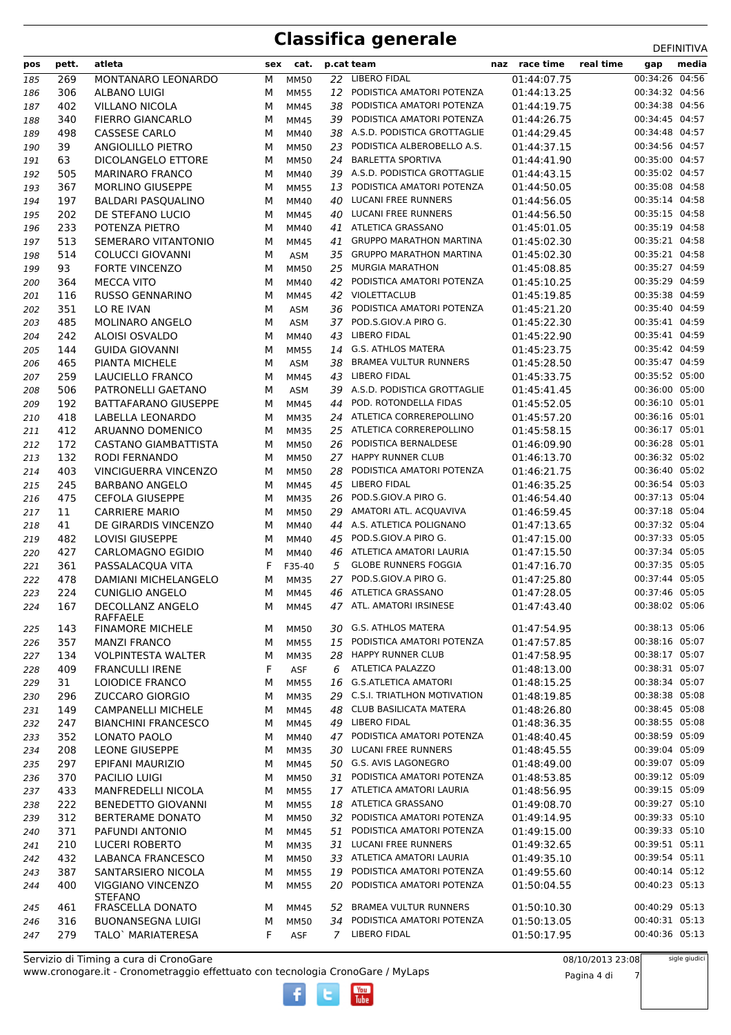| pos | pett. | atleta                              | sex | cat.        |    | p.cat team                     | naz race time | real time | gap            | media |
|-----|-------|-------------------------------------|-----|-------------|----|--------------------------------|---------------|-----------|----------------|-------|
| 185 | 269   | MONTANARO LEONARDO                  | M   | <b>MM50</b> | 22 | <b>LIBERO FIDAL</b>            | 01:44:07.75   |           | 00:34:26 04:56 |       |
| 186 | 306   | ALBANO LUIGI                        | м   | <b>MM55</b> | 12 | PODISTICA AMATORI POTENZA      | 01:44:13.25   |           | 00:34:32 04:56 |       |
| 187 | 402   | <b>VILLANO NICOLA</b>               | М   | <b>MM45</b> | 38 | PODISTICA AMATORI POTENZA      | 01:44:19.75   |           | 00:34:38 04:56 |       |
| 188 | 340   | <b>FIERRO GIANCARLO</b>             | M   | MM45        | 39 | PODISTICA AMATORI POTENZA      | 01:44:26.75   |           | 00:34:45 04:57 |       |
| 189 | 498   | <b>CASSESE CARLO</b>                | M   | MM40        |    | 38 A.S.D. PODISTICA GROTTAGLIE | 01:44:29.45   |           | 00:34:48 04:57 |       |
| 190 | 39    | ANGIOLILLO PIETRO                   | M   | <b>MM50</b> | 23 | PODISTICA ALBEROBELLO A.S.     | 01:44:37.15   |           | 00:34:56 04:57 |       |
| 191 | 63    | <b>DICOLANGELO ETTORE</b>           | М   | <b>MM50</b> | 24 | <b>BARLETTA SPORTIVA</b>       | 01:44:41.90   |           | 00:35:00 04:57 |       |
| 192 | 505   | <b>MARINARO FRANCO</b>              | M   | MM40        |    | 39 A.S.D. PODISTICA GROTTAGLIE | 01:44:43.15   |           | 00:35:02 04:57 |       |
| 193 | 367   | MORLINO GIUSEPPE                    | M   | <b>MM55</b> | 13 | PODISTICA AMATORI POTENZA      | 01:44:50.05   |           | 00:35:08 04:58 |       |
| 194 | 197   | <b>BALDARI PASQUALINO</b>           | М   | MM40        | 40 | LUCANI FREE RUNNERS            | 01:44:56.05   |           | 00:35:14 04:58 |       |
| 195 | 202   | DE STEFANO LUCIO                    | М   | MM45        |    | 40 LUCANI FREE RUNNERS         | 01:44:56.50   |           | 00:35:15 04:58 |       |
| 196 | 233   | POTENZA PIETRO                      | м   | MM40        | 41 | <b>ATLETICA GRASSANO</b>       | 01:45:01.05   |           | 00:35:19 04:58 |       |
| 197 | 513   | SEMERARO VITANTONIO                 | M   | MM45        | 41 | <b>GRUPPO MARATHON MARTINA</b> | 01:45:02.30   |           | 00:35:21 04:58 |       |
| 198 | 514   | <b>COLUCCI GIOVANNI</b>             | м   | <b>ASM</b>  |    | 35 GRUPPO MARATHON MARTINA     | 01:45:02.30   |           | 00:35:21 04:58 |       |
| 199 | 93    | <b>FORTE VINCENZO</b>               | м   | <b>MM50</b> | 25 | <b>MURGIA MARATHON</b>         | 01:45:08.85   |           | 00:35:27 04:59 |       |
| 200 | 364   | <b>MECCA VITO</b>                   | М   | MM40        | 42 | PODISTICA AMATORI POTENZA      | 01:45:10.25   |           | 00:35:29 04:59 |       |
| 201 | 116   | <b>RUSSO GENNARINO</b>              | М   | <b>MM45</b> |    | 42 VIOLETTACLUB                | 01:45:19.85   |           | 00:35:38 04:59 |       |
| 202 | 351   | LO RE IVAN                          | М   | <b>ASM</b>  | 36 | PODISTICA AMATORI POTENZA      | 01:45:21.20   |           | 00:35:40 04:59 |       |
| 203 | 485   | MOLINARO ANGELO                     | М   | <b>ASM</b>  | 37 | POD.S.GIOV.A PIRO G.           | 01:45:22.30   |           | 00:35:41 04:59 |       |
| 204 | 242   | ALOISI OSVALDO                      | М   | MM40        | 43 | <b>LIBERO FIDAL</b>            | 01:45:22.90   |           | 00:35:41 04:59 |       |
| 205 | 144   | <b>GUIDA GIOVANNI</b>               | M   | <b>MM55</b> | 14 | <b>G.S. ATHLOS MATERA</b>      | 01:45:23.75   |           | 00:35:42 04:59 |       |
| 206 | 465   | PIANTA MICHELE                      | М   | <b>ASM</b>  | 38 | <b>BRAMEA VULTUR RUNNERS</b>   | 01:45:28.50   |           | 00:35:47 04:59 |       |
| 207 | 259   | LAUCIELLO FRANCO                    | М   | <b>MM45</b> | 43 | <b>LIBERO FIDAL</b>            | 01:45:33.75   |           | 00:35:52 05:00 |       |
| 208 | 506   | PATRONELLI GAETANO                  | M   | <b>ASM</b>  |    | 39 A.S.D. PODISTICA GROTTAGLIE | 01:45:41.45   |           | 00:36:00 05:00 |       |
| 209 | 192   | <b>BATTAFARANO GIUSEPPE</b>         | M   | MM45        | 44 | POD. ROTONDELLA FIDAS          | 01:45:52.05   |           | 00:36:10 05:01 |       |
| 210 | 418   | LABELLA LEONARDO                    | м   | <b>MM35</b> |    | 24 ATLETICA CORREREPOLLINO     | 01:45:57.20   |           | 00:36:16 05:01 |       |
| 211 | 412   | ARUANNO DOMENICO                    | M   | <b>MM35</b> |    | 25 ATLETICA CORREREPOLLINO     | 01:45:58.15   |           | 00:36:17 05:01 |       |
| 212 | 172   | <b>CASTANO GIAMBATTISTA</b>         | M   | <b>MM50</b> |    | 26 PODISTICA BERNALDESE        | 01:46:09.90   |           | 00:36:28 05:01 |       |
| 213 | 132   | <b>RODI FERNANDO</b>                | М   | <b>MM50</b> |    | 27 HAPPY RUNNER CLUB           | 01:46:13.70   |           | 00:36:32 05:02 |       |
| 214 | 403   | <b>VINCIGUERRA VINCENZO</b>         | M   | <b>MM50</b> | 28 | PODISTICA AMATORI POTENZA      | 01:46:21.75   |           | 00:36:40 05:02 |       |
| 215 | 245   | <b>BARBANO ANGELO</b>               | М   | MM45        | 45 | <b>LIBERO FIDAL</b>            | 01:46:35.25   |           | 00:36:54 05:03 |       |
| 216 | 475   | <b>CEFOLA GIUSEPPE</b>              | м   | <b>MM35</b> | 26 | POD.S.GIOV.A PIRO G.           | 01:46:54.40   |           | 00:37:13 05:04 |       |
| 217 | 11    | <b>CARRIERE MARIO</b>               | M   | <b>MM50</b> |    | 29 AMATORI ATL. ACQUAVIVA      | 01:46:59.45   |           | 00:37:18 05:04 |       |
| 218 | 41    | DE GIRARDIS VINCENZO                | M   | MM40        |    | 44 A.S. ATLETICA POLIGNANO     | 01:47:13.65   |           | 00:37:32 05:04 |       |
| 219 | 482   | <b>LOVISI GIUSEPPE</b>              | М   | MM40        |    | 45 POD.S.GIOV.A PIRO G.        | 01:47:15.00   |           | 00:37:33 05:05 |       |
| 220 | 427   | CARLOMAGNO EGIDIO                   | M   | MM40        |    | 46 ATLETICA AMATORI LAURIA     | 01:47:15.50   |           | 00:37:34 05:05 |       |
| 221 | 361   | PASSALACQUA VITA                    | F   | F35-40      | 5  | <b>GLOBE RUNNERS FOGGIA</b>    | 01:47:16.70   |           | 00:37:35 05:05 |       |
| 222 | 478   | DAMIANI MICHELANGELO                | м   | <b>MM35</b> | 27 | POD.S.GIOV.A PIRO G.           | 01:47:25.80   |           | 00:37:44 05:05 |       |
| 223 | 224   | <b>CUNIGLIO ANGELO</b>              | м   | <b>MM45</b> |    | 46 ATLETICA GRASSANO           | 01:47:28.05   |           | 00:37:46 05:05 |       |
| 224 | 167   | DECOLLANZ ANGELO<br>RAFFAELE        | M   | MM45        | 47 | ATL. AMATORI IRSINESE          | 01:47:43.40   |           | 00:38:02 05:06 |       |
| 225 | 143   | <b>FINAMORE MICHELE</b>             | м   | <b>MM50</b> |    | 30 G.S. ATHLOS MATERA          | 01:47:54.95   |           | 00:38:13 05:06 |       |
| 226 | 357   | <b>MANZI FRANCO</b>                 | М   | <b>MM55</b> | 15 | PODISTICA AMATORI POTENZA      | 01:47:57.85   |           | 00:38:16 05:07 |       |
| 227 | 134   | <b>VOLPINTESTA WALTER</b>           | М   | <b>MM35</b> |    | 28 HAPPY RUNNER CLUB           | 01:47:58.95   |           | 00:38:17 05:07 |       |
| 228 | 409   | <b>FRANCULLI IRENE</b>              | F   | ASF         | 6  | <b>ATLETICA PALAZZO</b>        | 01:48:13.00   |           | 00:38:31 05:07 |       |
| 229 | 31    | <b>LOIODICE FRANCO</b>              | м   | <b>MM55</b> | 16 | <b>G.S.ATLETICA AMATORI</b>    | 01:48:15.25   |           | 00:38:34 05:07 |       |
| 230 | 296   | ZUCCARO GIORGIO                     | М   | <b>MM35</b> |    | 29 C.S.I. TRIATLHON MOTIVATION | 01:48:19.85   |           | 00:38:38 05:08 |       |
| 231 | 149   | <b>CAMPANELLI MICHELE</b>           | М   | MM45        | 48 | <b>CLUB BASILICATA MATERA</b>  | 01:48:26.80   |           | 00:38:45 05:08 |       |
| 232 | 247   | <b>BIANCHINI FRANCESCO</b>          | М   | MM45        |    | 49 LIBERO FIDAL                | 01:48:36.35   |           | 00:38:55 05:08 |       |
| 233 | 352   | LONATO PAOLO                        | м   | MM40        |    | 47 PODISTICA AMATORI POTENZA   | 01:48:40.45   |           | 00:38:59 05:09 |       |
| 234 | 208   | <b>LEONE GIUSEPPE</b>               | м   | <b>MM35</b> | 30 | LUCANI FREE RUNNERS            | 01:48:45.55   |           | 00:39:04 05:09 |       |
| 235 | 297   | EPIFANI MAURIZIO                    | М   | MM45        |    | 50 G.S. AVIS LAGONEGRO         | 01:48:49.00   |           | 00:39:07 05:09 |       |
| 236 | 370   | PACILIO LUIGI                       | М   | <b>MM50</b> |    | 31 PODISTICA AMATORI POTENZA   | 01:48:53.85   |           | 00:39:12 05:09 |       |
| 237 | 433   | MANFREDELLI NICOLA                  | М   | <b>MM55</b> |    | 17 ATLETICA AMATORI LAURIA     | 01:48:56.95   |           | 00:39:15 05:09 |       |
| 238 | 222   | <b>BENEDETTO GIOVANNI</b>           | М   | <b>MM55</b> |    | 18 ATLETICA GRASSANO           | 01:49:08.70   |           | 00:39:27 05:10 |       |
| 239 | 312   | <b>BERTERAME DONATO</b>             | м   | <b>MM50</b> |    | 32 PODISTICA AMATORI POTENZA   | 01:49:14.95   |           | 00:39:33 05:10 |       |
| 240 | 371   | PAFUNDI ANTONIO                     | М   | MM45        | 51 | PODISTICA AMATORI POTENZA      | 01:49:15.00   |           | 00:39:33 05:10 |       |
| 241 | 210   | <b>LUCERI ROBERTO</b>               | М   | <b>MM35</b> |    | 31 LUCANI FREE RUNNERS         | 01:49:32.65   |           | 00:39:51 05:11 |       |
| 242 | 432   | LABANCA FRANCESCO                   | М   | <b>MM50</b> |    | 33 ATLETICA AMATORI LAURIA     | 01:49:35.10   |           | 00:39:54 05:11 |       |
| 243 | 387   | SANTARSIERO NICOLA                  | М   | <b>MM55</b> | 19 | PODISTICA AMATORI POTENZA      | 01:49:55.60   |           | 00:40:14 05:12 |       |
| 244 | 400   | VIGGIANO VINCENZO<br><b>STEFANO</b> | М   | <b>MM55</b> | 20 | PODISTICA AMATORI POTENZA      | 01:50:04.55   |           | 00:40:23 05:13 |       |
| 245 | 461   | <b>FRASCELLA DONATO</b>             | м   | MM45        |    | 52 BRAMEA VULTUR RUNNERS       | 01:50:10.30   |           | 00:40:29 05:13 |       |
| 246 | 316   | <b>BUONANSEGNA LUIGI</b>            | М   | <b>MM50</b> | 34 | PODISTICA AMATORI POTENZA      | 01:50:13.05   |           | 00:40:31 05:13 |       |
| 247 | 279   | TALO` MARIATERESA                   | F   | ASF         | 7  | LIBERO FIDAL                   | 01:50:17.95   |           | 00:40:36 05:13 |       |

 $\frac{\text{You}}{\text{Iube}}$ 

sigle giudici

Pagina 4 di 7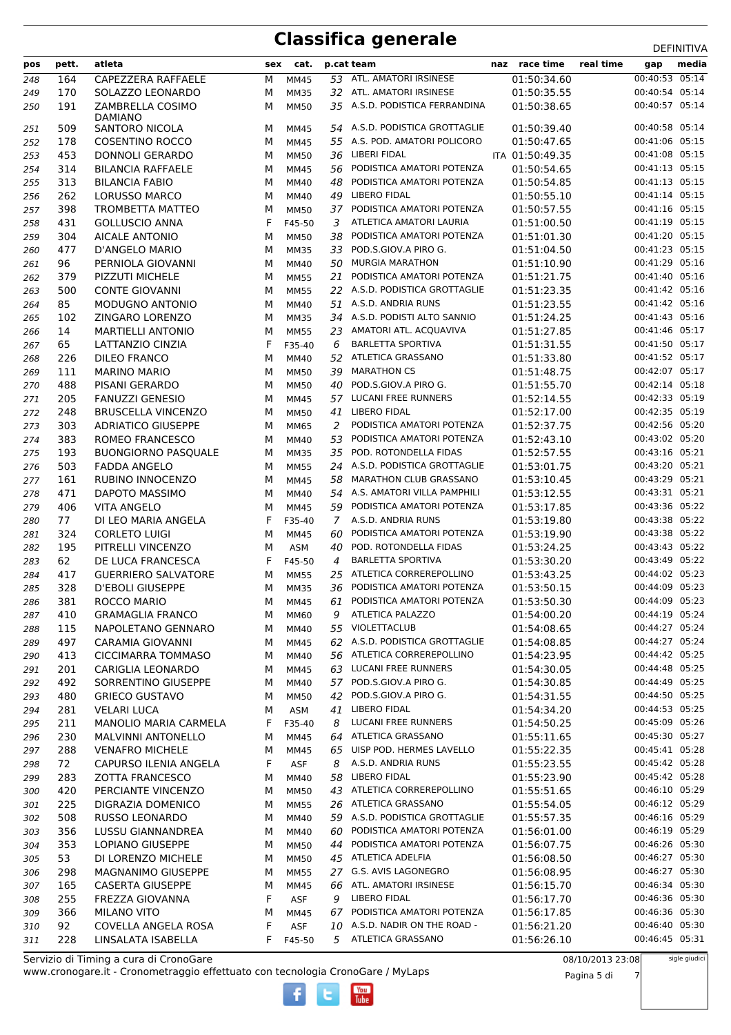| 00:40:53 05:14<br>ATL. AMATORI IRSINESE<br>01:50:34.60<br>164<br>CAPEZZERA RAFFAELE<br>53<br>М<br><b>MM45</b><br>248<br>00:40:54 05:14<br>170<br>SOLAZZO LEONARDO<br>32 ATL. AMATORI IRSINESE<br>01:50:35.55<br>М<br>249<br><b>MM35</b><br>00:40:57 05:14<br>35 A.S.D. PODISTICA FERRANDINA<br>191<br>ZAMBRELLA COSIMO<br>01:50:38.65<br>250<br><b>MM50</b><br>м<br><b>DAMIANO</b><br>54 A.S.D. PODISTICA GROTTAGLIE<br>00:40:58 05:14<br>509<br>01:50:39.40<br>251<br>SANTORO NICOLA<br>М<br><b>MM45</b><br>55 A.S. POD. AMATORI POLICORO<br>00:41:06 05:15<br>178<br><b>COSENTINO ROCCO</b><br>01:50:47.65<br>М<br>252<br>MM45<br>00:41:08 05:15<br>453<br>36 LIBERI FIDAL<br>ITA 01:50:49.35<br>253<br>DONNOLI GERARDO<br>М<br><b>MM50</b><br>PODISTICA AMATORI POTENZA<br>00:41:13 05:15<br>314<br><b>BILANCIA RAFFAELE</b><br>01:50:54.65<br>254<br><b>MM45</b><br>56<br>М<br>PODISTICA AMATORI POTENZA<br>00:41:13 05:15<br>313<br><b>BILANCIA FABIO</b><br>48<br>01:50:54.85<br>255<br>М<br>MM40<br>00:41:14 05:15<br>262<br><b>LIBERO FIDAL</b><br>01:50:55.10<br><b>LORUSSO MARCO</b><br>256<br>М<br>MM40<br>49<br>PODISTICA AMATORI POTENZA<br>00:41:16 05:15<br>398<br><b>TROMBETTA MATTEO</b><br>01:50:57.55<br>257<br><b>MM50</b><br>37<br>М<br>ATLETICA AMATORI LAURIA<br>00:41:19 05:15<br>431<br>F<br>01:51:00.50<br><b>GOLLUSCIO ANNA</b><br>3<br>258<br>F45-50<br>00:41:20 05:15<br>304<br><b>AICALE ANTONIO</b><br>PODISTICA AMATORI POTENZA<br>259<br>38<br>01:51:01.30<br>М<br><b>MM50</b><br>POD.S.GIOV.A PIRO G.<br>00:41:23 05:15<br>477<br>01:51:04.50<br>260<br>D'ANGELO MARIO<br><b>MM35</b><br>33<br>М<br>00:41:29 05:16<br>96<br><b>MURGIA MARATHON</b><br>PERNIOLA GIOVANNI<br>М<br>50<br>01:51:10.90<br>261<br>MM40<br>00:41:40 05:16<br>379<br>PODISTICA AMATORI POTENZA<br>PIZZUTI MICHELE<br>01:51:21.75<br>262<br>M<br><b>MM55</b><br>21<br>22 A.S.D. PODISTICA GROTTAGLIE<br>00:41:42 05:16<br>500<br><b>CONTE GIOVANNI</b><br>01:51:23.35<br>263<br><b>MM55</b><br>М<br>00:41:42 05:16<br>85<br>MODUGNO ANTONIO<br>A.S.D. ANDRIA RUNS<br>М<br>51<br>01:51:23.55<br>264<br>MM40<br>00:41:43 05:16<br>34 A.S.D. PODISTI ALTO SANNIO<br>102<br>ZINGARO LORENZO<br>01:51:24.25<br>265<br>М<br><b>MM35</b><br>00:41:46 05:17<br>14<br><b>MARTIELLI ANTONIO</b><br>AMATORI ATL. ACQUAVIVA<br>01:51:27.85<br>266<br><b>MM55</b><br>23<br>М<br>65<br>F<br><b>BARLETTA SPORTIVA</b><br>00:41:50 05:17<br>267<br>LATTANZIO CINZIA<br>01:51:31.55<br>F35-40<br>6<br><b>ATLETICA GRASSANO</b><br>01:51:33.80<br>00:41:52 05:17<br>226<br><b>DILEO FRANCO</b><br>268<br>М<br>MM40<br>52<br><b>MARATHON CS</b><br>00:42:07 05:17<br>01:51:48.75<br>269<br>111<br><b>MARINO MARIO</b><br><b>MM50</b><br>39<br>М<br>00:42:14 05:18<br>488<br>PISANI GERARDO<br>POD.S.GIOV.A PIRO G.<br>01:51:55.70<br>270<br>М<br>40<br><b>MM50</b><br>00:42:33 05:19<br>205<br>57 LUCANI FREE RUNNERS<br><b>FANUZZI GENESIO</b><br>01:52:14.55<br>М<br><b>MM45</b><br>271<br><b>LIBERO FIDAL</b><br>00:42:35 05:19<br>248<br><b>BRUSCELLA VINCENZO</b><br>01:52:17.00<br>272<br><b>MM50</b><br>41<br>М<br>00:42:56 05:20<br>303<br><b>ADRIATICO GIUSEPPE</b><br>PODISTICA AMATORI POTENZA<br>01:52:37.75<br>2<br>273<br>М<br>MM65<br>00:43:02 05:20<br>383<br>ROMEO FRANCESCO<br>PODISTICA AMATORI POTENZA<br>01:52:43.10<br>53<br>274<br>М<br>MM40<br>POD. ROTONDELLA FIDAS<br>00:43:16 05:21<br>193<br><b>BUONGIORNO PASQUALE</b><br>35<br>01:52:57.55<br>275<br><b>MM35</b><br>М<br>00:43:20 05:21<br>503<br><b>FADDA ANGELO</b><br>A.S.D. PODISTICA GROTTAGLIE<br>276<br>М<br>24<br>01:53:01.75<br><b>MM55</b><br>00:43:29 05:21<br>161<br>RUBINO INNOCENZO<br>MARATHON CLUB GRASSANO<br>58<br>01:53:10.45<br>277<br>М<br><b>MM45</b><br>A.S. AMATORI VILLA PAMPHILI<br>00:43:31 05:21<br>471<br>DAPOTO MASSIMO<br>01:53:12.55<br>278<br>MM40<br>54<br>М<br>00:43:36 05:22<br>406<br><b>VITA ANGELO</b><br>PODISTICA AMATORI POTENZA<br>01:53:17.85<br>279<br>59<br>М<br><b>MM45</b><br>00:43:38 05:22<br>77<br>F<br>A.S.D. ANDRIA RUNS<br>DI LEO MARIA ANGELA<br>$\overline{7}$<br>01:53:19.80<br>280<br>F35-40<br>PODISTICA AMATORI POTENZA<br>00:43:38 05:22<br>324<br>01:53:19.90<br>281<br><b>CORLETO LUIGI</b><br><b>MM45</b><br>60<br>М<br>00:43:43 05:22<br>195<br>PITRELLI VINCENZO<br>POD. ROTONDELLA FIDAS<br>М<br>40<br>01:53:24.25<br>282<br>ASM<br>00:43:49 05:22<br><b>BARLETTA SPORTIVA</b><br>62<br>DE LUCA FRANCESCA<br>F<br>F45-50<br>4<br>01:53:30.20<br>283<br>00:44:02 05:23<br>417<br><b>GUERRIERO SALVATORE</b><br>ATLETICA CORREREPOLLINO<br>01:53:43.25<br>284<br>25<br>М<br><b>MM55</b><br>328<br>00:44:09 05:23<br><b>D'EBOLI GIUSEPPE</b><br>PODISTICA AMATORI POTENZA<br>285<br><b>MM35</b><br>36<br>01:53:50.15<br>М<br>00:44:09 05:23<br>PODISTICA AMATORI POTENZA<br>381<br>286<br>ROCCO MARIO<br>М<br>61<br>01:53:50.30<br>MM45<br>00:44:19 05:24<br>9 ATLETICA PALAZZO<br>01:54:00.20<br>287<br>410<br><b>GRAMAGLIA FRANCO</b><br>MM60<br>м<br>55 VIOLETTACLUB<br>00:44:27 05:24<br>01:54:08.65<br>115<br>NAPOLETANO GENNARO<br>М<br>MM40<br>288<br>62 A.S.D. PODISTICA GROTTAGLIE<br>00:44:27 05:24<br>497<br><b>CARAMIA GIOVANNI</b><br><b>MM45</b><br>01:54:08.85<br>289<br>М<br>00:44:42 05:25<br>56 ATLETICA CORREREPOLLINO<br>413<br><b>CICCIMARRA TOMMASO</b><br>MM40<br>01:54:23.95<br>290<br>м<br>00:44:48 05:25<br>201<br>63 LUCANI FREE RUNNERS<br>CARIGLIA LEONARDO<br>М<br><b>MM45</b><br>01:54:30.05<br>291<br>00:44:49 05:25<br>57 POD.S.GIOV.A PIRO G.<br>492<br>SORRENTINO GIUSEPPE<br>01:54:30.85<br>292<br>М<br>MM40<br>POD.S.GIOV.A PIRO G.<br>00:44:50 05:25<br>293<br>480<br><b>GRIECO GUSTAVO</b><br>42<br>01:54:31.55<br><b>MM50</b><br>м<br>LIBERO FIDAL<br>00:44:53 05:25<br>281<br><b>VELARI LUCA</b><br>294<br>М<br>ASM<br>41<br>01:54:34.20<br>00:45:09 05:26<br>LUCANI FREE RUNNERS<br>211<br><b>MANOLIO MARIA CARMELA</b><br>F35-40<br>8<br>01:54:50.25<br>295<br>F<br>ATLETICA GRASSANO<br>00:45:30 05:27<br>230<br><b>MALVINNI ANTONELLO</b><br><b>MM45</b><br>64<br>01:55:11.65<br>296<br>м<br>65 UISP POD. HERMES LAVELLO<br>00:45:41 05:28<br>288<br><b>VENAFRO MICHELE</b><br>01:55:22.35<br>297<br>М<br><b>MM45</b><br>00:45:42 05:28<br>A.S.D. ANDRIA RUNS<br>72<br>CAPURSO ILENIA ANGELA<br>F<br>ASF<br>01:55:23.55<br>298<br>8<br><b>LIBERO FIDAL</b><br>00:45:42 05:28<br>283<br><b>ZOTTA FRANCESCO</b><br>58<br>01:55:23.90<br>299<br>MM40<br>м<br>00:46:10 05:29<br>ATLETICA CORREREPOLLINO<br>420<br>PERCIANTE VINCENZO<br>01:55:51.65<br>М<br>43<br>300<br><b>MM50</b><br>00:46:12 05:29<br>225<br>26 ATLETICA GRASSANO<br>DIGRAZIA DOMENICO<br><b>MM55</b><br>01:55:54.05<br>301<br>М<br>59 A.S.D. PODISTICA GROTTAGLIE<br>00:46:16 05:29<br>508<br><b>RUSSO LEONARDO</b><br>MM40<br>01:55:57.35<br>302<br>М<br>00:46:19 05:29<br>356<br>LUSSU GIANNANDREA<br>PODISTICA AMATORI POTENZA<br>01:56:01.00<br>М<br>MM40<br>60<br>303<br>00:46:26 05:30<br>PODISTICA AMATORI POTENZA<br>353<br>LOPIANO GIUSEPPE<br>44<br>01:56:07.75<br>304<br>М<br><b>MM50</b><br>45 ATLETICA ADELFIA<br>00:46:27 05:30<br>53<br>DI LORENZO MICHELE<br>01:56:08.50<br>305<br>М<br><b>MM50</b><br>27 G.S. AVIS LAGONEGRO<br>00:46:27 05:30<br>298<br>MAGNANIMO GIUSEPPE<br>М<br>01:56:08.95<br>306<br><b>MM55</b><br>00:46:34 05:30<br>66 ATL. AMATORI IRSINESE<br>165<br><b>CASERTA GIUSEPPE</b><br>01:56:15.70<br>307<br>М<br>MM45<br>F<br>LIBERO FIDAL<br>00:46:36 05:30<br>255<br>FREZZA GIOVANNA<br>ASF<br>9<br>01:56:17.70<br>308<br>00:46:36 05:30<br>366<br><b>MILANO VITO</b><br>PODISTICA AMATORI POTENZA<br>01:56:17.85<br>М<br>67<br>309<br>MM45<br>00:46:40 05:30<br>10 A.S.D. NADIR ON THE ROAD -<br>92<br>COVELLA ANGELA ROSA<br>F<br>ASF<br>01:56:21.20<br>310<br>5 ATLETICA GRASSANO<br>00:46:45 05:31<br>F. | pos | pett. | atleta             | sex | cat.   | p.cat team | naz race time | real time | gap | media |
|------------------------------------------------------------------------------------------------------------------------------------------------------------------------------------------------------------------------------------------------------------------------------------------------------------------------------------------------------------------------------------------------------------------------------------------------------------------------------------------------------------------------------------------------------------------------------------------------------------------------------------------------------------------------------------------------------------------------------------------------------------------------------------------------------------------------------------------------------------------------------------------------------------------------------------------------------------------------------------------------------------------------------------------------------------------------------------------------------------------------------------------------------------------------------------------------------------------------------------------------------------------------------------------------------------------------------------------------------------------------------------------------------------------------------------------------------------------------------------------------------------------------------------------------------------------------------------------------------------------------------------------------------------------------------------------------------------------------------------------------------------------------------------------------------------------------------------------------------------------------------------------------------------------------------------------------------------------------------------------------------------------------------------------------------------------------------------------------------------------------------------------------------------------------------------------------------------------------------------------------------------------------------------------------------------------------------------------------------------------------------------------------------------------------------------------------------------------------------------------------------------------------------------------------------------------------------------------------------------------------------------------------------------------------------------------------------------------------------------------------------------------------------------------------------------------------------------------------------------------------------------------------------------------------------------------------------------------------------------------------------------------------------------------------------------------------------------------------------------------------------------------------------------------------------------------------------------------------------------------------------------------------------------------------------------------------------------------------------------------------------------------------------------------------------------------------------------------------------------------------------------------------------------------------------------------------------------------------------------------------------------------------------------------------------------------------------------------------------------------------------------------------------------------------------------------------------------------------------------------------------------------------------------------------------------------------------------------------------------------------------------------------------------------------------------------------------------------------------------------------------------------------------------------------------------------------------------------------------------------------------------------------------------------------------------------------------------------------------------------------------------------------------------------------------------------------------------------------------------------------------------------------------------------------------------------------------------------------------------------------------------------------------------------------------------------------------------------------------------------------------------------------------------------------------------------------------------------------------------------------------------------------------------------------------------------------------------------------------------------------------------------------------------------------------------------------------------------------------------------------------------------------------------------------------------------------------------------------------------------------------------------------------------------------------------------------------------------------------------------------------------------------------------------------------------------------------------------------------------------------------------------------------------------------------------------------------------------------------------------------------------------------------------------------------------------------------------------------------------------------------------------------------------------------------------------------------------------------------------------------------------------------------------------------------------------------------------------------------------------------------------------------------------------------------------------------------------------------------------------------------------------------------------------------------------------------------------------------------------------------------------------------------------------------------------------------------------------------------------------------------------------------------------------------------------------------------------------------------------------------------------------------------------------------------------------------------------------------------------------------------------------------------------------------------------------------------------------------------------------------------------------------------------------------------------------------------------------------------------------------------------------------------------------------------------------------------------------------------------------------------------------------------------------------------------------------------------------------------------------------------------------------------------------------------------------------------------------------------------------------------------------------------------------------------------------------------------------------------------------------------------------------------------------------------------------------------------------------------------------------------------------------------------------------------------------------------------------------------------------------------------------------------------------------------------------------------------------------------------------------------------------------------------------------------|-----|-------|--------------------|-----|--------|------------|---------------|-----------|-----|-------|
|                                                                                                                                                                                                                                                                                                                                                                                                                                                                                                                                                                                                                                                                                                                                                                                                                                                                                                                                                                                                                                                                                                                                                                                                                                                                                                                                                                                                                                                                                                                                                                                                                                                                                                                                                                                                                                                                                                                                                                                                                                                                                                                                                                                                                                                                                                                                                                                                                                                                                                                                                                                                                                                                                                                                                                                                                                                                                                                                                                                                                                                                                                                                                                                                                                                                                                                                                                                                                                                                                                                                                                                                                                                                                                                                                                                                                                                                                                                                                                                                                                                                                                                                                                                                                                                                                                                                                                                                                                                                                                                                                                                                                                                                                                                                                                                                                                                                                                                                                                                                                                                                                                                                                                                                                                                                                                                                                                                                                                                                                                                                                                                                                                                                                                                                                                                                                                                                                                                                                                                                                                                                                                                                                                                                                                                                                                                                                                                                                                                                                                                                                                                                                                                                                                                                                                                                                                                                                                                                                                                                                                                                                                                                                                                                                                                                                                                                                                                                                                                                                                                                                                                                                                                                                                                                                                                                      |     |       |                    |     |        |            |               |           |     |       |
|                                                                                                                                                                                                                                                                                                                                                                                                                                                                                                                                                                                                                                                                                                                                                                                                                                                                                                                                                                                                                                                                                                                                                                                                                                                                                                                                                                                                                                                                                                                                                                                                                                                                                                                                                                                                                                                                                                                                                                                                                                                                                                                                                                                                                                                                                                                                                                                                                                                                                                                                                                                                                                                                                                                                                                                                                                                                                                                                                                                                                                                                                                                                                                                                                                                                                                                                                                                                                                                                                                                                                                                                                                                                                                                                                                                                                                                                                                                                                                                                                                                                                                                                                                                                                                                                                                                                                                                                                                                                                                                                                                                                                                                                                                                                                                                                                                                                                                                                                                                                                                                                                                                                                                                                                                                                                                                                                                                                                                                                                                                                                                                                                                                                                                                                                                                                                                                                                                                                                                                                                                                                                                                                                                                                                                                                                                                                                                                                                                                                                                                                                                                                                                                                                                                                                                                                                                                                                                                                                                                                                                                                                                                                                                                                                                                                                                                                                                                                                                                                                                                                                                                                                                                                                                                                                                                                      |     |       |                    |     |        |            |               |           |     |       |
|                                                                                                                                                                                                                                                                                                                                                                                                                                                                                                                                                                                                                                                                                                                                                                                                                                                                                                                                                                                                                                                                                                                                                                                                                                                                                                                                                                                                                                                                                                                                                                                                                                                                                                                                                                                                                                                                                                                                                                                                                                                                                                                                                                                                                                                                                                                                                                                                                                                                                                                                                                                                                                                                                                                                                                                                                                                                                                                                                                                                                                                                                                                                                                                                                                                                                                                                                                                                                                                                                                                                                                                                                                                                                                                                                                                                                                                                                                                                                                                                                                                                                                                                                                                                                                                                                                                                                                                                                                                                                                                                                                                                                                                                                                                                                                                                                                                                                                                                                                                                                                                                                                                                                                                                                                                                                                                                                                                                                                                                                                                                                                                                                                                                                                                                                                                                                                                                                                                                                                                                                                                                                                                                                                                                                                                                                                                                                                                                                                                                                                                                                                                                                                                                                                                                                                                                                                                                                                                                                                                                                                                                                                                                                                                                                                                                                                                                                                                                                                                                                                                                                                                                                                                                                                                                                                                                      |     |       |                    |     |        |            |               |           |     |       |
|                                                                                                                                                                                                                                                                                                                                                                                                                                                                                                                                                                                                                                                                                                                                                                                                                                                                                                                                                                                                                                                                                                                                                                                                                                                                                                                                                                                                                                                                                                                                                                                                                                                                                                                                                                                                                                                                                                                                                                                                                                                                                                                                                                                                                                                                                                                                                                                                                                                                                                                                                                                                                                                                                                                                                                                                                                                                                                                                                                                                                                                                                                                                                                                                                                                                                                                                                                                                                                                                                                                                                                                                                                                                                                                                                                                                                                                                                                                                                                                                                                                                                                                                                                                                                                                                                                                                                                                                                                                                                                                                                                                                                                                                                                                                                                                                                                                                                                                                                                                                                                                                                                                                                                                                                                                                                                                                                                                                                                                                                                                                                                                                                                                                                                                                                                                                                                                                                                                                                                                                                                                                                                                                                                                                                                                                                                                                                                                                                                                                                                                                                                                                                                                                                                                                                                                                                                                                                                                                                                                                                                                                                                                                                                                                                                                                                                                                                                                                                                                                                                                                                                                                                                                                                                                                                                                                      |     |       |                    |     |        |            |               |           |     |       |
|                                                                                                                                                                                                                                                                                                                                                                                                                                                                                                                                                                                                                                                                                                                                                                                                                                                                                                                                                                                                                                                                                                                                                                                                                                                                                                                                                                                                                                                                                                                                                                                                                                                                                                                                                                                                                                                                                                                                                                                                                                                                                                                                                                                                                                                                                                                                                                                                                                                                                                                                                                                                                                                                                                                                                                                                                                                                                                                                                                                                                                                                                                                                                                                                                                                                                                                                                                                                                                                                                                                                                                                                                                                                                                                                                                                                                                                                                                                                                                                                                                                                                                                                                                                                                                                                                                                                                                                                                                                                                                                                                                                                                                                                                                                                                                                                                                                                                                                                                                                                                                                                                                                                                                                                                                                                                                                                                                                                                                                                                                                                                                                                                                                                                                                                                                                                                                                                                                                                                                                                                                                                                                                                                                                                                                                                                                                                                                                                                                                                                                                                                                                                                                                                                                                                                                                                                                                                                                                                                                                                                                                                                                                                                                                                                                                                                                                                                                                                                                                                                                                                                                                                                                                                                                                                                                                                      |     |       |                    |     |        |            |               |           |     |       |
|                                                                                                                                                                                                                                                                                                                                                                                                                                                                                                                                                                                                                                                                                                                                                                                                                                                                                                                                                                                                                                                                                                                                                                                                                                                                                                                                                                                                                                                                                                                                                                                                                                                                                                                                                                                                                                                                                                                                                                                                                                                                                                                                                                                                                                                                                                                                                                                                                                                                                                                                                                                                                                                                                                                                                                                                                                                                                                                                                                                                                                                                                                                                                                                                                                                                                                                                                                                                                                                                                                                                                                                                                                                                                                                                                                                                                                                                                                                                                                                                                                                                                                                                                                                                                                                                                                                                                                                                                                                                                                                                                                                                                                                                                                                                                                                                                                                                                                                                                                                                                                                                                                                                                                                                                                                                                                                                                                                                                                                                                                                                                                                                                                                                                                                                                                                                                                                                                                                                                                                                                                                                                                                                                                                                                                                                                                                                                                                                                                                                                                                                                                                                                                                                                                                                                                                                                                                                                                                                                                                                                                                                                                                                                                                                                                                                                                                                                                                                                                                                                                                                                                                                                                                                                                                                                                                                      |     |       |                    |     |        |            |               |           |     |       |
|                                                                                                                                                                                                                                                                                                                                                                                                                                                                                                                                                                                                                                                                                                                                                                                                                                                                                                                                                                                                                                                                                                                                                                                                                                                                                                                                                                                                                                                                                                                                                                                                                                                                                                                                                                                                                                                                                                                                                                                                                                                                                                                                                                                                                                                                                                                                                                                                                                                                                                                                                                                                                                                                                                                                                                                                                                                                                                                                                                                                                                                                                                                                                                                                                                                                                                                                                                                                                                                                                                                                                                                                                                                                                                                                                                                                                                                                                                                                                                                                                                                                                                                                                                                                                                                                                                                                                                                                                                                                                                                                                                                                                                                                                                                                                                                                                                                                                                                                                                                                                                                                                                                                                                                                                                                                                                                                                                                                                                                                                                                                                                                                                                                                                                                                                                                                                                                                                                                                                                                                                                                                                                                                                                                                                                                                                                                                                                                                                                                                                                                                                                                                                                                                                                                                                                                                                                                                                                                                                                                                                                                                                                                                                                                                                                                                                                                                                                                                                                                                                                                                                                                                                                                                                                                                                                                                      |     |       |                    |     |        |            |               |           |     |       |
|                                                                                                                                                                                                                                                                                                                                                                                                                                                                                                                                                                                                                                                                                                                                                                                                                                                                                                                                                                                                                                                                                                                                                                                                                                                                                                                                                                                                                                                                                                                                                                                                                                                                                                                                                                                                                                                                                                                                                                                                                                                                                                                                                                                                                                                                                                                                                                                                                                                                                                                                                                                                                                                                                                                                                                                                                                                                                                                                                                                                                                                                                                                                                                                                                                                                                                                                                                                                                                                                                                                                                                                                                                                                                                                                                                                                                                                                                                                                                                                                                                                                                                                                                                                                                                                                                                                                                                                                                                                                                                                                                                                                                                                                                                                                                                                                                                                                                                                                                                                                                                                                                                                                                                                                                                                                                                                                                                                                                                                                                                                                                                                                                                                                                                                                                                                                                                                                                                                                                                                                                                                                                                                                                                                                                                                                                                                                                                                                                                                                                                                                                                                                                                                                                                                                                                                                                                                                                                                                                                                                                                                                                                                                                                                                                                                                                                                                                                                                                                                                                                                                                                                                                                                                                                                                                                                                      |     |       |                    |     |        |            |               |           |     |       |
|                                                                                                                                                                                                                                                                                                                                                                                                                                                                                                                                                                                                                                                                                                                                                                                                                                                                                                                                                                                                                                                                                                                                                                                                                                                                                                                                                                                                                                                                                                                                                                                                                                                                                                                                                                                                                                                                                                                                                                                                                                                                                                                                                                                                                                                                                                                                                                                                                                                                                                                                                                                                                                                                                                                                                                                                                                                                                                                                                                                                                                                                                                                                                                                                                                                                                                                                                                                                                                                                                                                                                                                                                                                                                                                                                                                                                                                                                                                                                                                                                                                                                                                                                                                                                                                                                                                                                                                                                                                                                                                                                                                                                                                                                                                                                                                                                                                                                                                                                                                                                                                                                                                                                                                                                                                                                                                                                                                                                                                                                                                                                                                                                                                                                                                                                                                                                                                                                                                                                                                                                                                                                                                                                                                                                                                                                                                                                                                                                                                                                                                                                                                                                                                                                                                                                                                                                                                                                                                                                                                                                                                                                                                                                                                                                                                                                                                                                                                                                                                                                                                                                                                                                                                                                                                                                                                                      |     |       |                    |     |        |            |               |           |     |       |
|                                                                                                                                                                                                                                                                                                                                                                                                                                                                                                                                                                                                                                                                                                                                                                                                                                                                                                                                                                                                                                                                                                                                                                                                                                                                                                                                                                                                                                                                                                                                                                                                                                                                                                                                                                                                                                                                                                                                                                                                                                                                                                                                                                                                                                                                                                                                                                                                                                                                                                                                                                                                                                                                                                                                                                                                                                                                                                                                                                                                                                                                                                                                                                                                                                                                                                                                                                                                                                                                                                                                                                                                                                                                                                                                                                                                                                                                                                                                                                                                                                                                                                                                                                                                                                                                                                                                                                                                                                                                                                                                                                                                                                                                                                                                                                                                                                                                                                                                                                                                                                                                                                                                                                                                                                                                                                                                                                                                                                                                                                                                                                                                                                                                                                                                                                                                                                                                                                                                                                                                                                                                                                                                                                                                                                                                                                                                                                                                                                                                                                                                                                                                                                                                                                                                                                                                                                                                                                                                                                                                                                                                                                                                                                                                                                                                                                                                                                                                                                                                                                                                                                                                                                                                                                                                                                                                      |     |       |                    |     |        |            |               |           |     |       |
|                                                                                                                                                                                                                                                                                                                                                                                                                                                                                                                                                                                                                                                                                                                                                                                                                                                                                                                                                                                                                                                                                                                                                                                                                                                                                                                                                                                                                                                                                                                                                                                                                                                                                                                                                                                                                                                                                                                                                                                                                                                                                                                                                                                                                                                                                                                                                                                                                                                                                                                                                                                                                                                                                                                                                                                                                                                                                                                                                                                                                                                                                                                                                                                                                                                                                                                                                                                                                                                                                                                                                                                                                                                                                                                                                                                                                                                                                                                                                                                                                                                                                                                                                                                                                                                                                                                                                                                                                                                                                                                                                                                                                                                                                                                                                                                                                                                                                                                                                                                                                                                                                                                                                                                                                                                                                                                                                                                                                                                                                                                                                                                                                                                                                                                                                                                                                                                                                                                                                                                                                                                                                                                                                                                                                                                                                                                                                                                                                                                                                                                                                                                                                                                                                                                                                                                                                                                                                                                                                                                                                                                                                                                                                                                                                                                                                                                                                                                                                                                                                                                                                                                                                                                                                                                                                                                                      |     |       |                    |     |        |            |               |           |     |       |
|                                                                                                                                                                                                                                                                                                                                                                                                                                                                                                                                                                                                                                                                                                                                                                                                                                                                                                                                                                                                                                                                                                                                                                                                                                                                                                                                                                                                                                                                                                                                                                                                                                                                                                                                                                                                                                                                                                                                                                                                                                                                                                                                                                                                                                                                                                                                                                                                                                                                                                                                                                                                                                                                                                                                                                                                                                                                                                                                                                                                                                                                                                                                                                                                                                                                                                                                                                                                                                                                                                                                                                                                                                                                                                                                                                                                                                                                                                                                                                                                                                                                                                                                                                                                                                                                                                                                                                                                                                                                                                                                                                                                                                                                                                                                                                                                                                                                                                                                                                                                                                                                                                                                                                                                                                                                                                                                                                                                                                                                                                                                                                                                                                                                                                                                                                                                                                                                                                                                                                                                                                                                                                                                                                                                                                                                                                                                                                                                                                                                                                                                                                                                                                                                                                                                                                                                                                                                                                                                                                                                                                                                                                                                                                                                                                                                                                                                                                                                                                                                                                                                                                                                                                                                                                                                                                                                      |     |       |                    |     |        |            |               |           |     |       |
|                                                                                                                                                                                                                                                                                                                                                                                                                                                                                                                                                                                                                                                                                                                                                                                                                                                                                                                                                                                                                                                                                                                                                                                                                                                                                                                                                                                                                                                                                                                                                                                                                                                                                                                                                                                                                                                                                                                                                                                                                                                                                                                                                                                                                                                                                                                                                                                                                                                                                                                                                                                                                                                                                                                                                                                                                                                                                                                                                                                                                                                                                                                                                                                                                                                                                                                                                                                                                                                                                                                                                                                                                                                                                                                                                                                                                                                                                                                                                                                                                                                                                                                                                                                                                                                                                                                                                                                                                                                                                                                                                                                                                                                                                                                                                                                                                                                                                                                                                                                                                                                                                                                                                                                                                                                                                                                                                                                                                                                                                                                                                                                                                                                                                                                                                                                                                                                                                                                                                                                                                                                                                                                                                                                                                                                                                                                                                                                                                                                                                                                                                                                                                                                                                                                                                                                                                                                                                                                                                                                                                                                                                                                                                                                                                                                                                                                                                                                                                                                                                                                                                                                                                                                                                                                                                                                                      |     |       |                    |     |        |            |               |           |     |       |
|                                                                                                                                                                                                                                                                                                                                                                                                                                                                                                                                                                                                                                                                                                                                                                                                                                                                                                                                                                                                                                                                                                                                                                                                                                                                                                                                                                                                                                                                                                                                                                                                                                                                                                                                                                                                                                                                                                                                                                                                                                                                                                                                                                                                                                                                                                                                                                                                                                                                                                                                                                                                                                                                                                                                                                                                                                                                                                                                                                                                                                                                                                                                                                                                                                                                                                                                                                                                                                                                                                                                                                                                                                                                                                                                                                                                                                                                                                                                                                                                                                                                                                                                                                                                                                                                                                                                                                                                                                                                                                                                                                                                                                                                                                                                                                                                                                                                                                                                                                                                                                                                                                                                                                                                                                                                                                                                                                                                                                                                                                                                                                                                                                                                                                                                                                                                                                                                                                                                                                                                                                                                                                                                                                                                                                                                                                                                                                                                                                                                                                                                                                                                                                                                                                                                                                                                                                                                                                                                                                                                                                                                                                                                                                                                                                                                                                                                                                                                                                                                                                                                                                                                                                                                                                                                                                                                      |     |       |                    |     |        |            |               |           |     |       |
|                                                                                                                                                                                                                                                                                                                                                                                                                                                                                                                                                                                                                                                                                                                                                                                                                                                                                                                                                                                                                                                                                                                                                                                                                                                                                                                                                                                                                                                                                                                                                                                                                                                                                                                                                                                                                                                                                                                                                                                                                                                                                                                                                                                                                                                                                                                                                                                                                                                                                                                                                                                                                                                                                                                                                                                                                                                                                                                                                                                                                                                                                                                                                                                                                                                                                                                                                                                                                                                                                                                                                                                                                                                                                                                                                                                                                                                                                                                                                                                                                                                                                                                                                                                                                                                                                                                                                                                                                                                                                                                                                                                                                                                                                                                                                                                                                                                                                                                                                                                                                                                                                                                                                                                                                                                                                                                                                                                                                                                                                                                                                                                                                                                                                                                                                                                                                                                                                                                                                                                                                                                                                                                                                                                                                                                                                                                                                                                                                                                                                                                                                                                                                                                                                                                                                                                                                                                                                                                                                                                                                                                                                                                                                                                                                                                                                                                                                                                                                                                                                                                                                                                                                                                                                                                                                                                                      |     |       |                    |     |        |            |               |           |     |       |
|                                                                                                                                                                                                                                                                                                                                                                                                                                                                                                                                                                                                                                                                                                                                                                                                                                                                                                                                                                                                                                                                                                                                                                                                                                                                                                                                                                                                                                                                                                                                                                                                                                                                                                                                                                                                                                                                                                                                                                                                                                                                                                                                                                                                                                                                                                                                                                                                                                                                                                                                                                                                                                                                                                                                                                                                                                                                                                                                                                                                                                                                                                                                                                                                                                                                                                                                                                                                                                                                                                                                                                                                                                                                                                                                                                                                                                                                                                                                                                                                                                                                                                                                                                                                                                                                                                                                                                                                                                                                                                                                                                                                                                                                                                                                                                                                                                                                                                                                                                                                                                                                                                                                                                                                                                                                                                                                                                                                                                                                                                                                                                                                                                                                                                                                                                                                                                                                                                                                                                                                                                                                                                                                                                                                                                                                                                                                                                                                                                                                                                                                                                                                                                                                                                                                                                                                                                                                                                                                                                                                                                                                                                                                                                                                                                                                                                                                                                                                                                                                                                                                                                                                                                                                                                                                                                                                      |     |       |                    |     |        |            |               |           |     |       |
|                                                                                                                                                                                                                                                                                                                                                                                                                                                                                                                                                                                                                                                                                                                                                                                                                                                                                                                                                                                                                                                                                                                                                                                                                                                                                                                                                                                                                                                                                                                                                                                                                                                                                                                                                                                                                                                                                                                                                                                                                                                                                                                                                                                                                                                                                                                                                                                                                                                                                                                                                                                                                                                                                                                                                                                                                                                                                                                                                                                                                                                                                                                                                                                                                                                                                                                                                                                                                                                                                                                                                                                                                                                                                                                                                                                                                                                                                                                                                                                                                                                                                                                                                                                                                                                                                                                                                                                                                                                                                                                                                                                                                                                                                                                                                                                                                                                                                                                                                                                                                                                                                                                                                                                                                                                                                                                                                                                                                                                                                                                                                                                                                                                                                                                                                                                                                                                                                                                                                                                                                                                                                                                                                                                                                                                                                                                                                                                                                                                                                                                                                                                                                                                                                                                                                                                                                                                                                                                                                                                                                                                                                                                                                                                                                                                                                                                                                                                                                                                                                                                                                                                                                                                                                                                                                                                                      |     |       |                    |     |        |            |               |           |     |       |
|                                                                                                                                                                                                                                                                                                                                                                                                                                                                                                                                                                                                                                                                                                                                                                                                                                                                                                                                                                                                                                                                                                                                                                                                                                                                                                                                                                                                                                                                                                                                                                                                                                                                                                                                                                                                                                                                                                                                                                                                                                                                                                                                                                                                                                                                                                                                                                                                                                                                                                                                                                                                                                                                                                                                                                                                                                                                                                                                                                                                                                                                                                                                                                                                                                                                                                                                                                                                                                                                                                                                                                                                                                                                                                                                                                                                                                                                                                                                                                                                                                                                                                                                                                                                                                                                                                                                                                                                                                                                                                                                                                                                                                                                                                                                                                                                                                                                                                                                                                                                                                                                                                                                                                                                                                                                                                                                                                                                                                                                                                                                                                                                                                                                                                                                                                                                                                                                                                                                                                                                                                                                                                                                                                                                                                                                                                                                                                                                                                                                                                                                                                                                                                                                                                                                                                                                                                                                                                                                                                                                                                                                                                                                                                                                                                                                                                                                                                                                                                                                                                                                                                                                                                                                                                                                                                                                      |     |       |                    |     |        |            |               |           |     |       |
|                                                                                                                                                                                                                                                                                                                                                                                                                                                                                                                                                                                                                                                                                                                                                                                                                                                                                                                                                                                                                                                                                                                                                                                                                                                                                                                                                                                                                                                                                                                                                                                                                                                                                                                                                                                                                                                                                                                                                                                                                                                                                                                                                                                                                                                                                                                                                                                                                                                                                                                                                                                                                                                                                                                                                                                                                                                                                                                                                                                                                                                                                                                                                                                                                                                                                                                                                                                                                                                                                                                                                                                                                                                                                                                                                                                                                                                                                                                                                                                                                                                                                                                                                                                                                                                                                                                                                                                                                                                                                                                                                                                                                                                                                                                                                                                                                                                                                                                                                                                                                                                                                                                                                                                                                                                                                                                                                                                                                                                                                                                                                                                                                                                                                                                                                                                                                                                                                                                                                                                                                                                                                                                                                                                                                                                                                                                                                                                                                                                                                                                                                                                                                                                                                                                                                                                                                                                                                                                                                                                                                                                                                                                                                                                                                                                                                                                                                                                                                                                                                                                                                                                                                                                                                                                                                                                                      |     |       |                    |     |        |            |               |           |     |       |
|                                                                                                                                                                                                                                                                                                                                                                                                                                                                                                                                                                                                                                                                                                                                                                                                                                                                                                                                                                                                                                                                                                                                                                                                                                                                                                                                                                                                                                                                                                                                                                                                                                                                                                                                                                                                                                                                                                                                                                                                                                                                                                                                                                                                                                                                                                                                                                                                                                                                                                                                                                                                                                                                                                                                                                                                                                                                                                                                                                                                                                                                                                                                                                                                                                                                                                                                                                                                                                                                                                                                                                                                                                                                                                                                                                                                                                                                                                                                                                                                                                                                                                                                                                                                                                                                                                                                                                                                                                                                                                                                                                                                                                                                                                                                                                                                                                                                                                                                                                                                                                                                                                                                                                                                                                                                                                                                                                                                                                                                                                                                                                                                                                                                                                                                                                                                                                                                                                                                                                                                                                                                                                                                                                                                                                                                                                                                                                                                                                                                                                                                                                                                                                                                                                                                                                                                                                                                                                                                                                                                                                                                                                                                                                                                                                                                                                                                                                                                                                                                                                                                                                                                                                                                                                                                                                                                      |     |       |                    |     |        |            |               |           |     |       |
|                                                                                                                                                                                                                                                                                                                                                                                                                                                                                                                                                                                                                                                                                                                                                                                                                                                                                                                                                                                                                                                                                                                                                                                                                                                                                                                                                                                                                                                                                                                                                                                                                                                                                                                                                                                                                                                                                                                                                                                                                                                                                                                                                                                                                                                                                                                                                                                                                                                                                                                                                                                                                                                                                                                                                                                                                                                                                                                                                                                                                                                                                                                                                                                                                                                                                                                                                                                                                                                                                                                                                                                                                                                                                                                                                                                                                                                                                                                                                                                                                                                                                                                                                                                                                                                                                                                                                                                                                                                                                                                                                                                                                                                                                                                                                                                                                                                                                                                                                                                                                                                                                                                                                                                                                                                                                                                                                                                                                                                                                                                                                                                                                                                                                                                                                                                                                                                                                                                                                                                                                                                                                                                                                                                                                                                                                                                                                                                                                                                                                                                                                                                                                                                                                                                                                                                                                                                                                                                                                                                                                                                                                                                                                                                                                                                                                                                                                                                                                                                                                                                                                                                                                                                                                                                                                                                                      |     |       |                    |     |        |            |               |           |     |       |
|                                                                                                                                                                                                                                                                                                                                                                                                                                                                                                                                                                                                                                                                                                                                                                                                                                                                                                                                                                                                                                                                                                                                                                                                                                                                                                                                                                                                                                                                                                                                                                                                                                                                                                                                                                                                                                                                                                                                                                                                                                                                                                                                                                                                                                                                                                                                                                                                                                                                                                                                                                                                                                                                                                                                                                                                                                                                                                                                                                                                                                                                                                                                                                                                                                                                                                                                                                                                                                                                                                                                                                                                                                                                                                                                                                                                                                                                                                                                                                                                                                                                                                                                                                                                                                                                                                                                                                                                                                                                                                                                                                                                                                                                                                                                                                                                                                                                                                                                                                                                                                                                                                                                                                                                                                                                                                                                                                                                                                                                                                                                                                                                                                                                                                                                                                                                                                                                                                                                                                                                                                                                                                                                                                                                                                                                                                                                                                                                                                                                                                                                                                                                                                                                                                                                                                                                                                                                                                                                                                                                                                                                                                                                                                                                                                                                                                                                                                                                                                                                                                                                                                                                                                                                                                                                                                                                      |     |       |                    |     |        |            |               |           |     |       |
|                                                                                                                                                                                                                                                                                                                                                                                                                                                                                                                                                                                                                                                                                                                                                                                                                                                                                                                                                                                                                                                                                                                                                                                                                                                                                                                                                                                                                                                                                                                                                                                                                                                                                                                                                                                                                                                                                                                                                                                                                                                                                                                                                                                                                                                                                                                                                                                                                                                                                                                                                                                                                                                                                                                                                                                                                                                                                                                                                                                                                                                                                                                                                                                                                                                                                                                                                                                                                                                                                                                                                                                                                                                                                                                                                                                                                                                                                                                                                                                                                                                                                                                                                                                                                                                                                                                                                                                                                                                                                                                                                                                                                                                                                                                                                                                                                                                                                                                                                                                                                                                                                                                                                                                                                                                                                                                                                                                                                                                                                                                                                                                                                                                                                                                                                                                                                                                                                                                                                                                                                                                                                                                                                                                                                                                                                                                                                                                                                                                                                                                                                                                                                                                                                                                                                                                                                                                                                                                                                                                                                                                                                                                                                                                                                                                                                                                                                                                                                                                                                                                                                                                                                                                                                                                                                                                                      |     |       |                    |     |        |            |               |           |     |       |
|                                                                                                                                                                                                                                                                                                                                                                                                                                                                                                                                                                                                                                                                                                                                                                                                                                                                                                                                                                                                                                                                                                                                                                                                                                                                                                                                                                                                                                                                                                                                                                                                                                                                                                                                                                                                                                                                                                                                                                                                                                                                                                                                                                                                                                                                                                                                                                                                                                                                                                                                                                                                                                                                                                                                                                                                                                                                                                                                                                                                                                                                                                                                                                                                                                                                                                                                                                                                                                                                                                                                                                                                                                                                                                                                                                                                                                                                                                                                                                                                                                                                                                                                                                                                                                                                                                                                                                                                                                                                                                                                                                                                                                                                                                                                                                                                                                                                                                                                                                                                                                                                                                                                                                                                                                                                                                                                                                                                                                                                                                                                                                                                                                                                                                                                                                                                                                                                                                                                                                                                                                                                                                                                                                                                                                                                                                                                                                                                                                                                                                                                                                                                                                                                                                                                                                                                                                                                                                                                                                                                                                                                                                                                                                                                                                                                                                                                                                                                                                                                                                                                                                                                                                                                                                                                                                                                      |     |       |                    |     |        |            |               |           |     |       |
|                                                                                                                                                                                                                                                                                                                                                                                                                                                                                                                                                                                                                                                                                                                                                                                                                                                                                                                                                                                                                                                                                                                                                                                                                                                                                                                                                                                                                                                                                                                                                                                                                                                                                                                                                                                                                                                                                                                                                                                                                                                                                                                                                                                                                                                                                                                                                                                                                                                                                                                                                                                                                                                                                                                                                                                                                                                                                                                                                                                                                                                                                                                                                                                                                                                                                                                                                                                                                                                                                                                                                                                                                                                                                                                                                                                                                                                                                                                                                                                                                                                                                                                                                                                                                                                                                                                                                                                                                                                                                                                                                                                                                                                                                                                                                                                                                                                                                                                                                                                                                                                                                                                                                                                                                                                                                                                                                                                                                                                                                                                                                                                                                                                                                                                                                                                                                                                                                                                                                                                                                                                                                                                                                                                                                                                                                                                                                                                                                                                                                                                                                                                                                                                                                                                                                                                                                                                                                                                                                                                                                                                                                                                                                                                                                                                                                                                                                                                                                                                                                                                                                                                                                                                                                                                                                                                                      |     |       |                    |     |        |            |               |           |     |       |
|                                                                                                                                                                                                                                                                                                                                                                                                                                                                                                                                                                                                                                                                                                                                                                                                                                                                                                                                                                                                                                                                                                                                                                                                                                                                                                                                                                                                                                                                                                                                                                                                                                                                                                                                                                                                                                                                                                                                                                                                                                                                                                                                                                                                                                                                                                                                                                                                                                                                                                                                                                                                                                                                                                                                                                                                                                                                                                                                                                                                                                                                                                                                                                                                                                                                                                                                                                                                                                                                                                                                                                                                                                                                                                                                                                                                                                                                                                                                                                                                                                                                                                                                                                                                                                                                                                                                                                                                                                                                                                                                                                                                                                                                                                                                                                                                                                                                                                                                                                                                                                                                                                                                                                                                                                                                                                                                                                                                                                                                                                                                                                                                                                                                                                                                                                                                                                                                                                                                                                                                                                                                                                                                                                                                                                                                                                                                                                                                                                                                                                                                                                                                                                                                                                                                                                                                                                                                                                                                                                                                                                                                                                                                                                                                                                                                                                                                                                                                                                                                                                                                                                                                                                                                                                                                                                                                      |     |       |                    |     |        |            |               |           |     |       |
|                                                                                                                                                                                                                                                                                                                                                                                                                                                                                                                                                                                                                                                                                                                                                                                                                                                                                                                                                                                                                                                                                                                                                                                                                                                                                                                                                                                                                                                                                                                                                                                                                                                                                                                                                                                                                                                                                                                                                                                                                                                                                                                                                                                                                                                                                                                                                                                                                                                                                                                                                                                                                                                                                                                                                                                                                                                                                                                                                                                                                                                                                                                                                                                                                                                                                                                                                                                                                                                                                                                                                                                                                                                                                                                                                                                                                                                                                                                                                                                                                                                                                                                                                                                                                                                                                                                                                                                                                                                                                                                                                                                                                                                                                                                                                                                                                                                                                                                                                                                                                                                                                                                                                                                                                                                                                                                                                                                                                                                                                                                                                                                                                                                                                                                                                                                                                                                                                                                                                                                                                                                                                                                                                                                                                                                                                                                                                                                                                                                                                                                                                                                                                                                                                                                                                                                                                                                                                                                                                                                                                                                                                                                                                                                                                                                                                                                                                                                                                                                                                                                                                                                                                                                                                                                                                                                                      |     |       |                    |     |        |            |               |           |     |       |
|                                                                                                                                                                                                                                                                                                                                                                                                                                                                                                                                                                                                                                                                                                                                                                                                                                                                                                                                                                                                                                                                                                                                                                                                                                                                                                                                                                                                                                                                                                                                                                                                                                                                                                                                                                                                                                                                                                                                                                                                                                                                                                                                                                                                                                                                                                                                                                                                                                                                                                                                                                                                                                                                                                                                                                                                                                                                                                                                                                                                                                                                                                                                                                                                                                                                                                                                                                                                                                                                                                                                                                                                                                                                                                                                                                                                                                                                                                                                                                                                                                                                                                                                                                                                                                                                                                                                                                                                                                                                                                                                                                                                                                                                                                                                                                                                                                                                                                                                                                                                                                                                                                                                                                                                                                                                                                                                                                                                                                                                                                                                                                                                                                                                                                                                                                                                                                                                                                                                                                                                                                                                                                                                                                                                                                                                                                                                                                                                                                                                                                                                                                                                                                                                                                                                                                                                                                                                                                                                                                                                                                                                                                                                                                                                                                                                                                                                                                                                                                                                                                                                                                                                                                                                                                                                                                                                      |     |       |                    |     |        |            |               |           |     |       |
|                                                                                                                                                                                                                                                                                                                                                                                                                                                                                                                                                                                                                                                                                                                                                                                                                                                                                                                                                                                                                                                                                                                                                                                                                                                                                                                                                                                                                                                                                                                                                                                                                                                                                                                                                                                                                                                                                                                                                                                                                                                                                                                                                                                                                                                                                                                                                                                                                                                                                                                                                                                                                                                                                                                                                                                                                                                                                                                                                                                                                                                                                                                                                                                                                                                                                                                                                                                                                                                                                                                                                                                                                                                                                                                                                                                                                                                                                                                                                                                                                                                                                                                                                                                                                                                                                                                                                                                                                                                                                                                                                                                                                                                                                                                                                                                                                                                                                                                                                                                                                                                                                                                                                                                                                                                                                                                                                                                                                                                                                                                                                                                                                                                                                                                                                                                                                                                                                                                                                                                                                                                                                                                                                                                                                                                                                                                                                                                                                                                                                                                                                                                                                                                                                                                                                                                                                                                                                                                                                                                                                                                                                                                                                                                                                                                                                                                                                                                                                                                                                                                                                                                                                                                                                                                                                                                                      |     |       |                    |     |        |            |               |           |     |       |
|                                                                                                                                                                                                                                                                                                                                                                                                                                                                                                                                                                                                                                                                                                                                                                                                                                                                                                                                                                                                                                                                                                                                                                                                                                                                                                                                                                                                                                                                                                                                                                                                                                                                                                                                                                                                                                                                                                                                                                                                                                                                                                                                                                                                                                                                                                                                                                                                                                                                                                                                                                                                                                                                                                                                                                                                                                                                                                                                                                                                                                                                                                                                                                                                                                                                                                                                                                                                                                                                                                                                                                                                                                                                                                                                                                                                                                                                                                                                                                                                                                                                                                                                                                                                                                                                                                                                                                                                                                                                                                                                                                                                                                                                                                                                                                                                                                                                                                                                                                                                                                                                                                                                                                                                                                                                                                                                                                                                                                                                                                                                                                                                                                                                                                                                                                                                                                                                                                                                                                                                                                                                                                                                                                                                                                                                                                                                                                                                                                                                                                                                                                                                                                                                                                                                                                                                                                                                                                                                                                                                                                                                                                                                                                                                                                                                                                                                                                                                                                                                                                                                                                                                                                                                                                                                                                                                      |     |       |                    |     |        |            |               |           |     |       |
|                                                                                                                                                                                                                                                                                                                                                                                                                                                                                                                                                                                                                                                                                                                                                                                                                                                                                                                                                                                                                                                                                                                                                                                                                                                                                                                                                                                                                                                                                                                                                                                                                                                                                                                                                                                                                                                                                                                                                                                                                                                                                                                                                                                                                                                                                                                                                                                                                                                                                                                                                                                                                                                                                                                                                                                                                                                                                                                                                                                                                                                                                                                                                                                                                                                                                                                                                                                                                                                                                                                                                                                                                                                                                                                                                                                                                                                                                                                                                                                                                                                                                                                                                                                                                                                                                                                                                                                                                                                                                                                                                                                                                                                                                                                                                                                                                                                                                                                                                                                                                                                                                                                                                                                                                                                                                                                                                                                                                                                                                                                                                                                                                                                                                                                                                                                                                                                                                                                                                                                                                                                                                                                                                                                                                                                                                                                                                                                                                                                                                                                                                                                                                                                                                                                                                                                                                                                                                                                                                                                                                                                                                                                                                                                                                                                                                                                                                                                                                                                                                                                                                                                                                                                                                                                                                                                                      |     |       |                    |     |        |            |               |           |     |       |
|                                                                                                                                                                                                                                                                                                                                                                                                                                                                                                                                                                                                                                                                                                                                                                                                                                                                                                                                                                                                                                                                                                                                                                                                                                                                                                                                                                                                                                                                                                                                                                                                                                                                                                                                                                                                                                                                                                                                                                                                                                                                                                                                                                                                                                                                                                                                                                                                                                                                                                                                                                                                                                                                                                                                                                                                                                                                                                                                                                                                                                                                                                                                                                                                                                                                                                                                                                                                                                                                                                                                                                                                                                                                                                                                                                                                                                                                                                                                                                                                                                                                                                                                                                                                                                                                                                                                                                                                                                                                                                                                                                                                                                                                                                                                                                                                                                                                                                                                                                                                                                                                                                                                                                                                                                                                                                                                                                                                                                                                                                                                                                                                                                                                                                                                                                                                                                                                                                                                                                                                                                                                                                                                                                                                                                                                                                                                                                                                                                                                                                                                                                                                                                                                                                                                                                                                                                                                                                                                                                                                                                                                                                                                                                                                                                                                                                                                                                                                                                                                                                                                                                                                                                                                                                                                                                                                      |     |       |                    |     |        |            |               |           |     |       |
|                                                                                                                                                                                                                                                                                                                                                                                                                                                                                                                                                                                                                                                                                                                                                                                                                                                                                                                                                                                                                                                                                                                                                                                                                                                                                                                                                                                                                                                                                                                                                                                                                                                                                                                                                                                                                                                                                                                                                                                                                                                                                                                                                                                                                                                                                                                                                                                                                                                                                                                                                                                                                                                                                                                                                                                                                                                                                                                                                                                                                                                                                                                                                                                                                                                                                                                                                                                                                                                                                                                                                                                                                                                                                                                                                                                                                                                                                                                                                                                                                                                                                                                                                                                                                                                                                                                                                                                                                                                                                                                                                                                                                                                                                                                                                                                                                                                                                                                                                                                                                                                                                                                                                                                                                                                                                                                                                                                                                                                                                                                                                                                                                                                                                                                                                                                                                                                                                                                                                                                                                                                                                                                                                                                                                                                                                                                                                                                                                                                                                                                                                                                                                                                                                                                                                                                                                                                                                                                                                                                                                                                                                                                                                                                                                                                                                                                                                                                                                                                                                                                                                                                                                                                                                                                                                                                                      |     |       |                    |     |        |            |               |           |     |       |
|                                                                                                                                                                                                                                                                                                                                                                                                                                                                                                                                                                                                                                                                                                                                                                                                                                                                                                                                                                                                                                                                                                                                                                                                                                                                                                                                                                                                                                                                                                                                                                                                                                                                                                                                                                                                                                                                                                                                                                                                                                                                                                                                                                                                                                                                                                                                                                                                                                                                                                                                                                                                                                                                                                                                                                                                                                                                                                                                                                                                                                                                                                                                                                                                                                                                                                                                                                                                                                                                                                                                                                                                                                                                                                                                                                                                                                                                                                                                                                                                                                                                                                                                                                                                                                                                                                                                                                                                                                                                                                                                                                                                                                                                                                                                                                                                                                                                                                                                                                                                                                                                                                                                                                                                                                                                                                                                                                                                                                                                                                                                                                                                                                                                                                                                                                                                                                                                                                                                                                                                                                                                                                                                                                                                                                                                                                                                                                                                                                                                                                                                                                                                                                                                                                                                                                                                                                                                                                                                                                                                                                                                                                                                                                                                                                                                                                                                                                                                                                                                                                                                                                                                                                                                                                                                                                                                      |     |       |                    |     |        |            |               |           |     |       |
|                                                                                                                                                                                                                                                                                                                                                                                                                                                                                                                                                                                                                                                                                                                                                                                                                                                                                                                                                                                                                                                                                                                                                                                                                                                                                                                                                                                                                                                                                                                                                                                                                                                                                                                                                                                                                                                                                                                                                                                                                                                                                                                                                                                                                                                                                                                                                                                                                                                                                                                                                                                                                                                                                                                                                                                                                                                                                                                                                                                                                                                                                                                                                                                                                                                                                                                                                                                                                                                                                                                                                                                                                                                                                                                                                                                                                                                                                                                                                                                                                                                                                                                                                                                                                                                                                                                                                                                                                                                                                                                                                                                                                                                                                                                                                                                                                                                                                                                                                                                                                                                                                                                                                                                                                                                                                                                                                                                                                                                                                                                                                                                                                                                                                                                                                                                                                                                                                                                                                                                                                                                                                                                                                                                                                                                                                                                                                                                                                                                                                                                                                                                                                                                                                                                                                                                                                                                                                                                                                                                                                                                                                                                                                                                                                                                                                                                                                                                                                                                                                                                                                                                                                                                                                                                                                                                                      |     |       |                    |     |        |            |               |           |     |       |
|                                                                                                                                                                                                                                                                                                                                                                                                                                                                                                                                                                                                                                                                                                                                                                                                                                                                                                                                                                                                                                                                                                                                                                                                                                                                                                                                                                                                                                                                                                                                                                                                                                                                                                                                                                                                                                                                                                                                                                                                                                                                                                                                                                                                                                                                                                                                                                                                                                                                                                                                                                                                                                                                                                                                                                                                                                                                                                                                                                                                                                                                                                                                                                                                                                                                                                                                                                                                                                                                                                                                                                                                                                                                                                                                                                                                                                                                                                                                                                                                                                                                                                                                                                                                                                                                                                                                                                                                                                                                                                                                                                                                                                                                                                                                                                                                                                                                                                                                                                                                                                                                                                                                                                                                                                                                                                                                                                                                                                                                                                                                                                                                                                                                                                                                                                                                                                                                                                                                                                                                                                                                                                                                                                                                                                                                                                                                                                                                                                                                                                                                                                                                                                                                                                                                                                                                                                                                                                                                                                                                                                                                                                                                                                                                                                                                                                                                                                                                                                                                                                                                                                                                                                                                                                                                                                                                      |     |       |                    |     |        |            |               |           |     |       |
|                                                                                                                                                                                                                                                                                                                                                                                                                                                                                                                                                                                                                                                                                                                                                                                                                                                                                                                                                                                                                                                                                                                                                                                                                                                                                                                                                                                                                                                                                                                                                                                                                                                                                                                                                                                                                                                                                                                                                                                                                                                                                                                                                                                                                                                                                                                                                                                                                                                                                                                                                                                                                                                                                                                                                                                                                                                                                                                                                                                                                                                                                                                                                                                                                                                                                                                                                                                                                                                                                                                                                                                                                                                                                                                                                                                                                                                                                                                                                                                                                                                                                                                                                                                                                                                                                                                                                                                                                                                                                                                                                                                                                                                                                                                                                                                                                                                                                                                                                                                                                                                                                                                                                                                                                                                                                                                                                                                                                                                                                                                                                                                                                                                                                                                                                                                                                                                                                                                                                                                                                                                                                                                                                                                                                                                                                                                                                                                                                                                                                                                                                                                                                                                                                                                                                                                                                                                                                                                                                                                                                                                                                                                                                                                                                                                                                                                                                                                                                                                                                                                                                                                                                                                                                                                                                                                                      |     |       |                    |     |        |            |               |           |     |       |
|                                                                                                                                                                                                                                                                                                                                                                                                                                                                                                                                                                                                                                                                                                                                                                                                                                                                                                                                                                                                                                                                                                                                                                                                                                                                                                                                                                                                                                                                                                                                                                                                                                                                                                                                                                                                                                                                                                                                                                                                                                                                                                                                                                                                                                                                                                                                                                                                                                                                                                                                                                                                                                                                                                                                                                                                                                                                                                                                                                                                                                                                                                                                                                                                                                                                                                                                                                                                                                                                                                                                                                                                                                                                                                                                                                                                                                                                                                                                                                                                                                                                                                                                                                                                                                                                                                                                                                                                                                                                                                                                                                                                                                                                                                                                                                                                                                                                                                                                                                                                                                                                                                                                                                                                                                                                                                                                                                                                                                                                                                                                                                                                                                                                                                                                                                                                                                                                                                                                                                                                                                                                                                                                                                                                                                                                                                                                                                                                                                                                                                                                                                                                                                                                                                                                                                                                                                                                                                                                                                                                                                                                                                                                                                                                                                                                                                                                                                                                                                                                                                                                                                                                                                                                                                                                                                                                      |     |       |                    |     |        |            |               |           |     |       |
|                                                                                                                                                                                                                                                                                                                                                                                                                                                                                                                                                                                                                                                                                                                                                                                                                                                                                                                                                                                                                                                                                                                                                                                                                                                                                                                                                                                                                                                                                                                                                                                                                                                                                                                                                                                                                                                                                                                                                                                                                                                                                                                                                                                                                                                                                                                                                                                                                                                                                                                                                                                                                                                                                                                                                                                                                                                                                                                                                                                                                                                                                                                                                                                                                                                                                                                                                                                                                                                                                                                                                                                                                                                                                                                                                                                                                                                                                                                                                                                                                                                                                                                                                                                                                                                                                                                                                                                                                                                                                                                                                                                                                                                                                                                                                                                                                                                                                                                                                                                                                                                                                                                                                                                                                                                                                                                                                                                                                                                                                                                                                                                                                                                                                                                                                                                                                                                                                                                                                                                                                                                                                                                                                                                                                                                                                                                                                                                                                                                                                                                                                                                                                                                                                                                                                                                                                                                                                                                                                                                                                                                                                                                                                                                                                                                                                                                                                                                                                                                                                                                                                                                                                                                                                                                                                                                                      |     |       |                    |     |        |            |               |           |     |       |
|                                                                                                                                                                                                                                                                                                                                                                                                                                                                                                                                                                                                                                                                                                                                                                                                                                                                                                                                                                                                                                                                                                                                                                                                                                                                                                                                                                                                                                                                                                                                                                                                                                                                                                                                                                                                                                                                                                                                                                                                                                                                                                                                                                                                                                                                                                                                                                                                                                                                                                                                                                                                                                                                                                                                                                                                                                                                                                                                                                                                                                                                                                                                                                                                                                                                                                                                                                                                                                                                                                                                                                                                                                                                                                                                                                                                                                                                                                                                                                                                                                                                                                                                                                                                                                                                                                                                                                                                                                                                                                                                                                                                                                                                                                                                                                                                                                                                                                                                                                                                                                                                                                                                                                                                                                                                                                                                                                                                                                                                                                                                                                                                                                                                                                                                                                                                                                                                                                                                                                                                                                                                                                                                                                                                                                                                                                                                                                                                                                                                                                                                                                                                                                                                                                                                                                                                                                                                                                                                                                                                                                                                                                                                                                                                                                                                                                                                                                                                                                                                                                                                                                                                                                                                                                                                                                                                      |     |       |                    |     |        |            |               |           |     |       |
|                                                                                                                                                                                                                                                                                                                                                                                                                                                                                                                                                                                                                                                                                                                                                                                                                                                                                                                                                                                                                                                                                                                                                                                                                                                                                                                                                                                                                                                                                                                                                                                                                                                                                                                                                                                                                                                                                                                                                                                                                                                                                                                                                                                                                                                                                                                                                                                                                                                                                                                                                                                                                                                                                                                                                                                                                                                                                                                                                                                                                                                                                                                                                                                                                                                                                                                                                                                                                                                                                                                                                                                                                                                                                                                                                                                                                                                                                                                                                                                                                                                                                                                                                                                                                                                                                                                                                                                                                                                                                                                                                                                                                                                                                                                                                                                                                                                                                                                                                                                                                                                                                                                                                                                                                                                                                                                                                                                                                                                                                                                                                                                                                                                                                                                                                                                                                                                                                                                                                                                                                                                                                                                                                                                                                                                                                                                                                                                                                                                                                                                                                                                                                                                                                                                                                                                                                                                                                                                                                                                                                                                                                                                                                                                                                                                                                                                                                                                                                                                                                                                                                                                                                                                                                                                                                                                                      |     |       |                    |     |        |            |               |           |     |       |
|                                                                                                                                                                                                                                                                                                                                                                                                                                                                                                                                                                                                                                                                                                                                                                                                                                                                                                                                                                                                                                                                                                                                                                                                                                                                                                                                                                                                                                                                                                                                                                                                                                                                                                                                                                                                                                                                                                                                                                                                                                                                                                                                                                                                                                                                                                                                                                                                                                                                                                                                                                                                                                                                                                                                                                                                                                                                                                                                                                                                                                                                                                                                                                                                                                                                                                                                                                                                                                                                                                                                                                                                                                                                                                                                                                                                                                                                                                                                                                                                                                                                                                                                                                                                                                                                                                                                                                                                                                                                                                                                                                                                                                                                                                                                                                                                                                                                                                                                                                                                                                                                                                                                                                                                                                                                                                                                                                                                                                                                                                                                                                                                                                                                                                                                                                                                                                                                                                                                                                                                                                                                                                                                                                                                                                                                                                                                                                                                                                                                                                                                                                                                                                                                                                                                                                                                                                                                                                                                                                                                                                                                                                                                                                                                                                                                                                                                                                                                                                                                                                                                                                                                                                                                                                                                                                                                      |     |       |                    |     |        |            |               |           |     |       |
|                                                                                                                                                                                                                                                                                                                                                                                                                                                                                                                                                                                                                                                                                                                                                                                                                                                                                                                                                                                                                                                                                                                                                                                                                                                                                                                                                                                                                                                                                                                                                                                                                                                                                                                                                                                                                                                                                                                                                                                                                                                                                                                                                                                                                                                                                                                                                                                                                                                                                                                                                                                                                                                                                                                                                                                                                                                                                                                                                                                                                                                                                                                                                                                                                                                                                                                                                                                                                                                                                                                                                                                                                                                                                                                                                                                                                                                                                                                                                                                                                                                                                                                                                                                                                                                                                                                                                                                                                                                                                                                                                                                                                                                                                                                                                                                                                                                                                                                                                                                                                                                                                                                                                                                                                                                                                                                                                                                                                                                                                                                                                                                                                                                                                                                                                                                                                                                                                                                                                                                                                                                                                                                                                                                                                                                                                                                                                                                                                                                                                                                                                                                                                                                                                                                                                                                                                                                                                                                                                                                                                                                                                                                                                                                                                                                                                                                                                                                                                                                                                                                                                                                                                                                                                                                                                                                                      |     |       |                    |     |        |            |               |           |     |       |
|                                                                                                                                                                                                                                                                                                                                                                                                                                                                                                                                                                                                                                                                                                                                                                                                                                                                                                                                                                                                                                                                                                                                                                                                                                                                                                                                                                                                                                                                                                                                                                                                                                                                                                                                                                                                                                                                                                                                                                                                                                                                                                                                                                                                                                                                                                                                                                                                                                                                                                                                                                                                                                                                                                                                                                                                                                                                                                                                                                                                                                                                                                                                                                                                                                                                                                                                                                                                                                                                                                                                                                                                                                                                                                                                                                                                                                                                                                                                                                                                                                                                                                                                                                                                                                                                                                                                                                                                                                                                                                                                                                                                                                                                                                                                                                                                                                                                                                                                                                                                                                                                                                                                                                                                                                                                                                                                                                                                                                                                                                                                                                                                                                                                                                                                                                                                                                                                                                                                                                                                                                                                                                                                                                                                                                                                                                                                                                                                                                                                                                                                                                                                                                                                                                                                                                                                                                                                                                                                                                                                                                                                                                                                                                                                                                                                                                                                                                                                                                                                                                                                                                                                                                                                                                                                                                                                      |     |       |                    |     |        |            |               |           |     |       |
|                                                                                                                                                                                                                                                                                                                                                                                                                                                                                                                                                                                                                                                                                                                                                                                                                                                                                                                                                                                                                                                                                                                                                                                                                                                                                                                                                                                                                                                                                                                                                                                                                                                                                                                                                                                                                                                                                                                                                                                                                                                                                                                                                                                                                                                                                                                                                                                                                                                                                                                                                                                                                                                                                                                                                                                                                                                                                                                                                                                                                                                                                                                                                                                                                                                                                                                                                                                                                                                                                                                                                                                                                                                                                                                                                                                                                                                                                                                                                                                                                                                                                                                                                                                                                                                                                                                                                                                                                                                                                                                                                                                                                                                                                                                                                                                                                                                                                                                                                                                                                                                                                                                                                                                                                                                                                                                                                                                                                                                                                                                                                                                                                                                                                                                                                                                                                                                                                                                                                                                                                                                                                                                                                                                                                                                                                                                                                                                                                                                                                                                                                                                                                                                                                                                                                                                                                                                                                                                                                                                                                                                                                                                                                                                                                                                                                                                                                                                                                                                                                                                                                                                                                                                                                                                                                                                                      |     |       |                    |     |        |            |               |           |     |       |
|                                                                                                                                                                                                                                                                                                                                                                                                                                                                                                                                                                                                                                                                                                                                                                                                                                                                                                                                                                                                                                                                                                                                                                                                                                                                                                                                                                                                                                                                                                                                                                                                                                                                                                                                                                                                                                                                                                                                                                                                                                                                                                                                                                                                                                                                                                                                                                                                                                                                                                                                                                                                                                                                                                                                                                                                                                                                                                                                                                                                                                                                                                                                                                                                                                                                                                                                                                                                                                                                                                                                                                                                                                                                                                                                                                                                                                                                                                                                                                                                                                                                                                                                                                                                                                                                                                                                                                                                                                                                                                                                                                                                                                                                                                                                                                                                                                                                                                                                                                                                                                                                                                                                                                                                                                                                                                                                                                                                                                                                                                                                                                                                                                                                                                                                                                                                                                                                                                                                                                                                                                                                                                                                                                                                                                                                                                                                                                                                                                                                                                                                                                                                                                                                                                                                                                                                                                                                                                                                                                                                                                                                                                                                                                                                                                                                                                                                                                                                                                                                                                                                                                                                                                                                                                                                                                                                      |     |       |                    |     |        |            |               |           |     |       |
|                                                                                                                                                                                                                                                                                                                                                                                                                                                                                                                                                                                                                                                                                                                                                                                                                                                                                                                                                                                                                                                                                                                                                                                                                                                                                                                                                                                                                                                                                                                                                                                                                                                                                                                                                                                                                                                                                                                                                                                                                                                                                                                                                                                                                                                                                                                                                                                                                                                                                                                                                                                                                                                                                                                                                                                                                                                                                                                                                                                                                                                                                                                                                                                                                                                                                                                                                                                                                                                                                                                                                                                                                                                                                                                                                                                                                                                                                                                                                                                                                                                                                                                                                                                                                                                                                                                                                                                                                                                                                                                                                                                                                                                                                                                                                                                                                                                                                                                                                                                                                                                                                                                                                                                                                                                                                                                                                                                                                                                                                                                                                                                                                                                                                                                                                                                                                                                                                                                                                                                                                                                                                                                                                                                                                                                                                                                                                                                                                                                                                                                                                                                                                                                                                                                                                                                                                                                                                                                                                                                                                                                                                                                                                                                                                                                                                                                                                                                                                                                                                                                                                                                                                                                                                                                                                                                                      |     |       |                    |     |        |            |               |           |     |       |
|                                                                                                                                                                                                                                                                                                                                                                                                                                                                                                                                                                                                                                                                                                                                                                                                                                                                                                                                                                                                                                                                                                                                                                                                                                                                                                                                                                                                                                                                                                                                                                                                                                                                                                                                                                                                                                                                                                                                                                                                                                                                                                                                                                                                                                                                                                                                                                                                                                                                                                                                                                                                                                                                                                                                                                                                                                                                                                                                                                                                                                                                                                                                                                                                                                                                                                                                                                                                                                                                                                                                                                                                                                                                                                                                                                                                                                                                                                                                                                                                                                                                                                                                                                                                                                                                                                                                                                                                                                                                                                                                                                                                                                                                                                                                                                                                                                                                                                                                                                                                                                                                                                                                                                                                                                                                                                                                                                                                                                                                                                                                                                                                                                                                                                                                                                                                                                                                                                                                                                                                                                                                                                                                                                                                                                                                                                                                                                                                                                                                                                                                                                                                                                                                                                                                                                                                                                                                                                                                                                                                                                                                                                                                                                                                                                                                                                                                                                                                                                                                                                                                                                                                                                                                                                                                                                                                      |     |       |                    |     |        |            |               |           |     |       |
|                                                                                                                                                                                                                                                                                                                                                                                                                                                                                                                                                                                                                                                                                                                                                                                                                                                                                                                                                                                                                                                                                                                                                                                                                                                                                                                                                                                                                                                                                                                                                                                                                                                                                                                                                                                                                                                                                                                                                                                                                                                                                                                                                                                                                                                                                                                                                                                                                                                                                                                                                                                                                                                                                                                                                                                                                                                                                                                                                                                                                                                                                                                                                                                                                                                                                                                                                                                                                                                                                                                                                                                                                                                                                                                                                                                                                                                                                                                                                                                                                                                                                                                                                                                                                                                                                                                                                                                                                                                                                                                                                                                                                                                                                                                                                                                                                                                                                                                                                                                                                                                                                                                                                                                                                                                                                                                                                                                                                                                                                                                                                                                                                                                                                                                                                                                                                                                                                                                                                                                                                                                                                                                                                                                                                                                                                                                                                                                                                                                                                                                                                                                                                                                                                                                                                                                                                                                                                                                                                                                                                                                                                                                                                                                                                                                                                                                                                                                                                                                                                                                                                                                                                                                                                                                                                                                                      |     |       |                    |     |        |            |               |           |     |       |
|                                                                                                                                                                                                                                                                                                                                                                                                                                                                                                                                                                                                                                                                                                                                                                                                                                                                                                                                                                                                                                                                                                                                                                                                                                                                                                                                                                                                                                                                                                                                                                                                                                                                                                                                                                                                                                                                                                                                                                                                                                                                                                                                                                                                                                                                                                                                                                                                                                                                                                                                                                                                                                                                                                                                                                                                                                                                                                                                                                                                                                                                                                                                                                                                                                                                                                                                                                                                                                                                                                                                                                                                                                                                                                                                                                                                                                                                                                                                                                                                                                                                                                                                                                                                                                                                                                                                                                                                                                                                                                                                                                                                                                                                                                                                                                                                                                                                                                                                                                                                                                                                                                                                                                                                                                                                                                                                                                                                                                                                                                                                                                                                                                                                                                                                                                                                                                                                                                                                                                                                                                                                                                                                                                                                                                                                                                                                                                                                                                                                                                                                                                                                                                                                                                                                                                                                                                                                                                                                                                                                                                                                                                                                                                                                                                                                                                                                                                                                                                                                                                                                                                                                                                                                                                                                                                                                      |     |       |                    |     |        |            |               |           |     |       |
|                                                                                                                                                                                                                                                                                                                                                                                                                                                                                                                                                                                                                                                                                                                                                                                                                                                                                                                                                                                                                                                                                                                                                                                                                                                                                                                                                                                                                                                                                                                                                                                                                                                                                                                                                                                                                                                                                                                                                                                                                                                                                                                                                                                                                                                                                                                                                                                                                                                                                                                                                                                                                                                                                                                                                                                                                                                                                                                                                                                                                                                                                                                                                                                                                                                                                                                                                                                                                                                                                                                                                                                                                                                                                                                                                                                                                                                                                                                                                                                                                                                                                                                                                                                                                                                                                                                                                                                                                                                                                                                                                                                                                                                                                                                                                                                                                                                                                                                                                                                                                                                                                                                                                                                                                                                                                                                                                                                                                                                                                                                                                                                                                                                                                                                                                                                                                                                                                                                                                                                                                                                                                                                                                                                                                                                                                                                                                                                                                                                                                                                                                                                                                                                                                                                                                                                                                                                                                                                                                                                                                                                                                                                                                                                                                                                                                                                                                                                                                                                                                                                                                                                                                                                                                                                                                                                                      |     |       |                    |     |        |            |               |           |     |       |
|                                                                                                                                                                                                                                                                                                                                                                                                                                                                                                                                                                                                                                                                                                                                                                                                                                                                                                                                                                                                                                                                                                                                                                                                                                                                                                                                                                                                                                                                                                                                                                                                                                                                                                                                                                                                                                                                                                                                                                                                                                                                                                                                                                                                                                                                                                                                                                                                                                                                                                                                                                                                                                                                                                                                                                                                                                                                                                                                                                                                                                                                                                                                                                                                                                                                                                                                                                                                                                                                                                                                                                                                                                                                                                                                                                                                                                                                                                                                                                                                                                                                                                                                                                                                                                                                                                                                                                                                                                                                                                                                                                                                                                                                                                                                                                                                                                                                                                                                                                                                                                                                                                                                                                                                                                                                                                                                                                                                                                                                                                                                                                                                                                                                                                                                                                                                                                                                                                                                                                                                                                                                                                                                                                                                                                                                                                                                                                                                                                                                                                                                                                                                                                                                                                                                                                                                                                                                                                                                                                                                                                                                                                                                                                                                                                                                                                                                                                                                                                                                                                                                                                                                                                                                                                                                                                                                      |     |       |                    |     |        |            |               |           |     |       |
|                                                                                                                                                                                                                                                                                                                                                                                                                                                                                                                                                                                                                                                                                                                                                                                                                                                                                                                                                                                                                                                                                                                                                                                                                                                                                                                                                                                                                                                                                                                                                                                                                                                                                                                                                                                                                                                                                                                                                                                                                                                                                                                                                                                                                                                                                                                                                                                                                                                                                                                                                                                                                                                                                                                                                                                                                                                                                                                                                                                                                                                                                                                                                                                                                                                                                                                                                                                                                                                                                                                                                                                                                                                                                                                                                                                                                                                                                                                                                                                                                                                                                                                                                                                                                                                                                                                                                                                                                                                                                                                                                                                                                                                                                                                                                                                                                                                                                                                                                                                                                                                                                                                                                                                                                                                                                                                                                                                                                                                                                                                                                                                                                                                                                                                                                                                                                                                                                                                                                                                                                                                                                                                                                                                                                                                                                                                                                                                                                                                                                                                                                                                                                                                                                                                                                                                                                                                                                                                                                                                                                                                                                                                                                                                                                                                                                                                                                                                                                                                                                                                                                                                                                                                                                                                                                                                                      |     |       |                    |     |        |            |               |           |     |       |
|                                                                                                                                                                                                                                                                                                                                                                                                                                                                                                                                                                                                                                                                                                                                                                                                                                                                                                                                                                                                                                                                                                                                                                                                                                                                                                                                                                                                                                                                                                                                                                                                                                                                                                                                                                                                                                                                                                                                                                                                                                                                                                                                                                                                                                                                                                                                                                                                                                                                                                                                                                                                                                                                                                                                                                                                                                                                                                                                                                                                                                                                                                                                                                                                                                                                                                                                                                                                                                                                                                                                                                                                                                                                                                                                                                                                                                                                                                                                                                                                                                                                                                                                                                                                                                                                                                                                                                                                                                                                                                                                                                                                                                                                                                                                                                                                                                                                                                                                                                                                                                                                                                                                                                                                                                                                                                                                                                                                                                                                                                                                                                                                                                                                                                                                                                                                                                                                                                                                                                                                                                                                                                                                                                                                                                                                                                                                                                                                                                                                                                                                                                                                                                                                                                                                                                                                                                                                                                                                                                                                                                                                                                                                                                                                                                                                                                                                                                                                                                                                                                                                                                                                                                                                                                                                                                                                      |     |       |                    |     |        |            |               |           |     |       |
|                                                                                                                                                                                                                                                                                                                                                                                                                                                                                                                                                                                                                                                                                                                                                                                                                                                                                                                                                                                                                                                                                                                                                                                                                                                                                                                                                                                                                                                                                                                                                                                                                                                                                                                                                                                                                                                                                                                                                                                                                                                                                                                                                                                                                                                                                                                                                                                                                                                                                                                                                                                                                                                                                                                                                                                                                                                                                                                                                                                                                                                                                                                                                                                                                                                                                                                                                                                                                                                                                                                                                                                                                                                                                                                                                                                                                                                                                                                                                                                                                                                                                                                                                                                                                                                                                                                                                                                                                                                                                                                                                                                                                                                                                                                                                                                                                                                                                                                                                                                                                                                                                                                                                                                                                                                                                                                                                                                                                                                                                                                                                                                                                                                                                                                                                                                                                                                                                                                                                                                                                                                                                                                                                                                                                                                                                                                                                                                                                                                                                                                                                                                                                                                                                                                                                                                                                                                                                                                                                                                                                                                                                                                                                                                                                                                                                                                                                                                                                                                                                                                                                                                                                                                                                                                                                                                                      |     |       |                    |     |        |            |               |           |     |       |
|                                                                                                                                                                                                                                                                                                                                                                                                                                                                                                                                                                                                                                                                                                                                                                                                                                                                                                                                                                                                                                                                                                                                                                                                                                                                                                                                                                                                                                                                                                                                                                                                                                                                                                                                                                                                                                                                                                                                                                                                                                                                                                                                                                                                                                                                                                                                                                                                                                                                                                                                                                                                                                                                                                                                                                                                                                                                                                                                                                                                                                                                                                                                                                                                                                                                                                                                                                                                                                                                                                                                                                                                                                                                                                                                                                                                                                                                                                                                                                                                                                                                                                                                                                                                                                                                                                                                                                                                                                                                                                                                                                                                                                                                                                                                                                                                                                                                                                                                                                                                                                                                                                                                                                                                                                                                                                                                                                                                                                                                                                                                                                                                                                                                                                                                                                                                                                                                                                                                                                                                                                                                                                                                                                                                                                                                                                                                                                                                                                                                                                                                                                                                                                                                                                                                                                                                                                                                                                                                                                                                                                                                                                                                                                                                                                                                                                                                                                                                                                                                                                                                                                                                                                                                                                                                                                                                      |     |       |                    |     |        |            |               |           |     |       |
|                                                                                                                                                                                                                                                                                                                                                                                                                                                                                                                                                                                                                                                                                                                                                                                                                                                                                                                                                                                                                                                                                                                                                                                                                                                                                                                                                                                                                                                                                                                                                                                                                                                                                                                                                                                                                                                                                                                                                                                                                                                                                                                                                                                                                                                                                                                                                                                                                                                                                                                                                                                                                                                                                                                                                                                                                                                                                                                                                                                                                                                                                                                                                                                                                                                                                                                                                                                                                                                                                                                                                                                                                                                                                                                                                                                                                                                                                                                                                                                                                                                                                                                                                                                                                                                                                                                                                                                                                                                                                                                                                                                                                                                                                                                                                                                                                                                                                                                                                                                                                                                                                                                                                                                                                                                                                                                                                                                                                                                                                                                                                                                                                                                                                                                                                                                                                                                                                                                                                                                                                                                                                                                                                                                                                                                                                                                                                                                                                                                                                                                                                                                                                                                                                                                                                                                                                                                                                                                                                                                                                                                                                                                                                                                                                                                                                                                                                                                                                                                                                                                                                                                                                                                                                                                                                                                                      |     |       |                    |     |        |            |               |           |     |       |
|                                                                                                                                                                                                                                                                                                                                                                                                                                                                                                                                                                                                                                                                                                                                                                                                                                                                                                                                                                                                                                                                                                                                                                                                                                                                                                                                                                                                                                                                                                                                                                                                                                                                                                                                                                                                                                                                                                                                                                                                                                                                                                                                                                                                                                                                                                                                                                                                                                                                                                                                                                                                                                                                                                                                                                                                                                                                                                                                                                                                                                                                                                                                                                                                                                                                                                                                                                                                                                                                                                                                                                                                                                                                                                                                                                                                                                                                                                                                                                                                                                                                                                                                                                                                                                                                                                                                                                                                                                                                                                                                                                                                                                                                                                                                                                                                                                                                                                                                                                                                                                                                                                                                                                                                                                                                                                                                                                                                                                                                                                                                                                                                                                                                                                                                                                                                                                                                                                                                                                                                                                                                                                                                                                                                                                                                                                                                                                                                                                                                                                                                                                                                                                                                                                                                                                                                                                                                                                                                                                                                                                                                                                                                                                                                                                                                                                                                                                                                                                                                                                                                                                                                                                                                                                                                                                                                      |     |       |                    |     |        |            |               |           |     |       |
|                                                                                                                                                                                                                                                                                                                                                                                                                                                                                                                                                                                                                                                                                                                                                                                                                                                                                                                                                                                                                                                                                                                                                                                                                                                                                                                                                                                                                                                                                                                                                                                                                                                                                                                                                                                                                                                                                                                                                                                                                                                                                                                                                                                                                                                                                                                                                                                                                                                                                                                                                                                                                                                                                                                                                                                                                                                                                                                                                                                                                                                                                                                                                                                                                                                                                                                                                                                                                                                                                                                                                                                                                                                                                                                                                                                                                                                                                                                                                                                                                                                                                                                                                                                                                                                                                                                                                                                                                                                                                                                                                                                                                                                                                                                                                                                                                                                                                                                                                                                                                                                                                                                                                                                                                                                                                                                                                                                                                                                                                                                                                                                                                                                                                                                                                                                                                                                                                                                                                                                                                                                                                                                                                                                                                                                                                                                                                                                                                                                                                                                                                                                                                                                                                                                                                                                                                                                                                                                                                                                                                                                                                                                                                                                                                                                                                                                                                                                                                                                                                                                                                                                                                                                                                                                                                                                                      |     |       |                    |     |        |            |               |           |     |       |
|                                                                                                                                                                                                                                                                                                                                                                                                                                                                                                                                                                                                                                                                                                                                                                                                                                                                                                                                                                                                                                                                                                                                                                                                                                                                                                                                                                                                                                                                                                                                                                                                                                                                                                                                                                                                                                                                                                                                                                                                                                                                                                                                                                                                                                                                                                                                                                                                                                                                                                                                                                                                                                                                                                                                                                                                                                                                                                                                                                                                                                                                                                                                                                                                                                                                                                                                                                                                                                                                                                                                                                                                                                                                                                                                                                                                                                                                                                                                                                                                                                                                                                                                                                                                                                                                                                                                                                                                                                                                                                                                                                                                                                                                                                                                                                                                                                                                                                                                                                                                                                                                                                                                                                                                                                                                                                                                                                                                                                                                                                                                                                                                                                                                                                                                                                                                                                                                                                                                                                                                                                                                                                                                                                                                                                                                                                                                                                                                                                                                                                                                                                                                                                                                                                                                                                                                                                                                                                                                                                                                                                                                                                                                                                                                                                                                                                                                                                                                                                                                                                                                                                                                                                                                                                                                                                                                      |     |       |                    |     |        |            |               |           |     |       |
|                                                                                                                                                                                                                                                                                                                                                                                                                                                                                                                                                                                                                                                                                                                                                                                                                                                                                                                                                                                                                                                                                                                                                                                                                                                                                                                                                                                                                                                                                                                                                                                                                                                                                                                                                                                                                                                                                                                                                                                                                                                                                                                                                                                                                                                                                                                                                                                                                                                                                                                                                                                                                                                                                                                                                                                                                                                                                                                                                                                                                                                                                                                                                                                                                                                                                                                                                                                                                                                                                                                                                                                                                                                                                                                                                                                                                                                                                                                                                                                                                                                                                                                                                                                                                                                                                                                                                                                                                                                                                                                                                                                                                                                                                                                                                                                                                                                                                                                                                                                                                                                                                                                                                                                                                                                                                                                                                                                                                                                                                                                                                                                                                                                                                                                                                                                                                                                                                                                                                                                                                                                                                                                                                                                                                                                                                                                                                                                                                                                                                                                                                                                                                                                                                                                                                                                                                                                                                                                                                                                                                                                                                                                                                                                                                                                                                                                                                                                                                                                                                                                                                                                                                                                                                                                                                                                                      |     |       |                    |     |        |            |               |           |     |       |
|                                                                                                                                                                                                                                                                                                                                                                                                                                                                                                                                                                                                                                                                                                                                                                                                                                                                                                                                                                                                                                                                                                                                                                                                                                                                                                                                                                                                                                                                                                                                                                                                                                                                                                                                                                                                                                                                                                                                                                                                                                                                                                                                                                                                                                                                                                                                                                                                                                                                                                                                                                                                                                                                                                                                                                                                                                                                                                                                                                                                                                                                                                                                                                                                                                                                                                                                                                                                                                                                                                                                                                                                                                                                                                                                                                                                                                                                                                                                                                                                                                                                                                                                                                                                                                                                                                                                                                                                                                                                                                                                                                                                                                                                                                                                                                                                                                                                                                                                                                                                                                                                                                                                                                                                                                                                                                                                                                                                                                                                                                                                                                                                                                                                                                                                                                                                                                                                                                                                                                                                                                                                                                                                                                                                                                                                                                                                                                                                                                                                                                                                                                                                                                                                                                                                                                                                                                                                                                                                                                                                                                                                                                                                                                                                                                                                                                                                                                                                                                                                                                                                                                                                                                                                                                                                                                                                      |     |       |                    |     |        |            |               |           |     |       |
|                                                                                                                                                                                                                                                                                                                                                                                                                                                                                                                                                                                                                                                                                                                                                                                                                                                                                                                                                                                                                                                                                                                                                                                                                                                                                                                                                                                                                                                                                                                                                                                                                                                                                                                                                                                                                                                                                                                                                                                                                                                                                                                                                                                                                                                                                                                                                                                                                                                                                                                                                                                                                                                                                                                                                                                                                                                                                                                                                                                                                                                                                                                                                                                                                                                                                                                                                                                                                                                                                                                                                                                                                                                                                                                                                                                                                                                                                                                                                                                                                                                                                                                                                                                                                                                                                                                                                                                                                                                                                                                                                                                                                                                                                                                                                                                                                                                                                                                                                                                                                                                                                                                                                                                                                                                                                                                                                                                                                                                                                                                                                                                                                                                                                                                                                                                                                                                                                                                                                                                                                                                                                                                                                                                                                                                                                                                                                                                                                                                                                                                                                                                                                                                                                                                                                                                                                                                                                                                                                                                                                                                                                                                                                                                                                                                                                                                                                                                                                                                                                                                                                                                                                                                                                                                                                                                                      | 311 | 228   | LINSALATA ISABELLA |     | F45-50 |            | 01:56:26.10   |           |     |       |

 $\frac{\text{You}}{\text{Iube}}$ 

www.cronogare.it - Cronometraggio effettuato con tecnologia CronoGare / MyLaps Servizio di Timing a cura di CronoGare

08/10/2013 23:08

Pagina 5 di 7

sigle giudici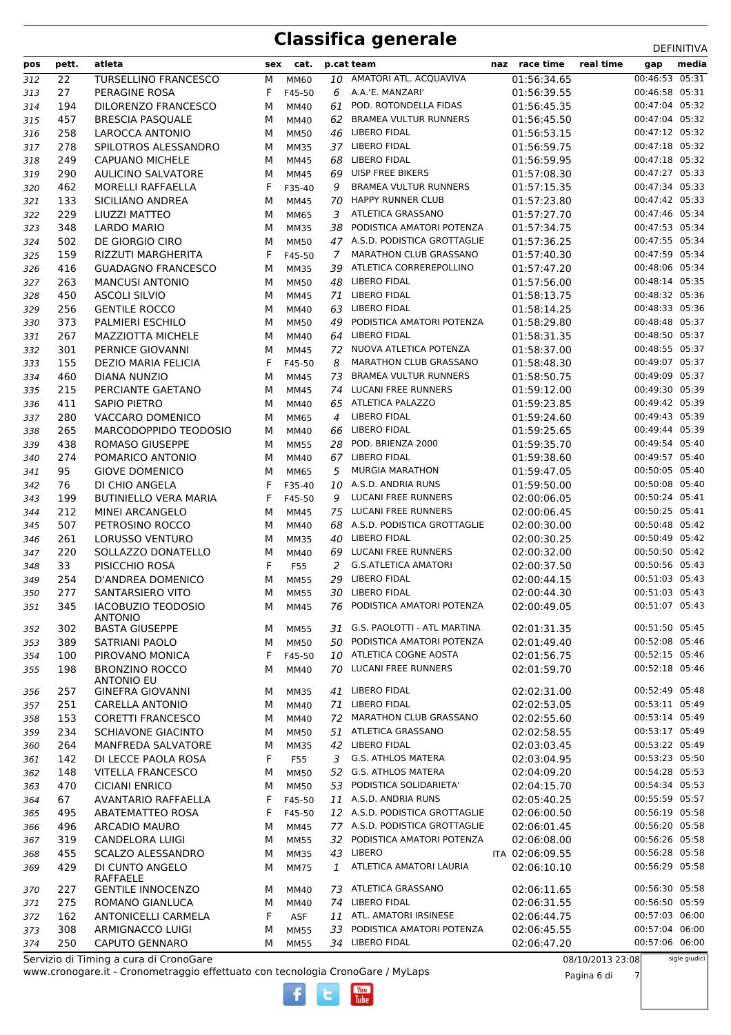| pos | pett. | atleta                                  | sex | cat.        |    | p.cat team                     | naz race time   | real time | gap            | media |
|-----|-------|-----------------------------------------|-----|-------------|----|--------------------------------|-----------------|-----------|----------------|-------|
| 312 | 22    | <b>TURSELLINO FRANCESCO</b>             | М   | MM60        | 10 | AMATORI ATL. ACQUAVIVA         | 01:56:34.65     |           | 00:46:53 05:31 |       |
| 313 | 27    | PERAGINE ROSA                           | F   | F45-50      | 6  | A.A.'E. MANZARI'               | 01:56:39.55     |           | 00:46:58 05:31 |       |
| 314 | 194   | DILORENZO FRANCESCO                     | M   | MM40        | 61 | POD. ROTONDELLA FIDAS          | 01:56:45.35     |           | 00:47:04 05:32 |       |
| 315 | 457   | <b>BRESCIA PASQUALE</b>                 | M   | MM40        | 62 | <b>BRAMEA VULTUR RUNNERS</b>   | 01:56:45.50     |           | 00:47:04 05:32 |       |
| 316 | 258   | <b>LAROCCA ANTONIO</b>                  | М   | <b>MM50</b> | 46 | <b>LIBERO FIDAL</b>            | 01:56:53.15     |           | 00:47:12 05:32 |       |
| 317 | 278   | SPILOTROS ALESSANDRO                    | М   | <b>MM35</b> | 37 | <b>LIBERO FIDAL</b>            | 01:56:59.75     |           | 00:47:18 05:32 |       |
| 318 | 249   | <b>CAPUANO MICHELE</b>                  | М   | <b>MM45</b> | 68 | <b>LIBERO FIDAL</b>            | 01:56:59.95     |           | 00:47:18 05:32 |       |
| 319 | 290   | <b>AULICINO SALVATORE</b>               | М   | <b>MM45</b> | 69 | <b>UISP FREE BIKERS</b>        | 01:57:08.30     |           | 00:47:27 05:33 |       |
| 320 | 462   | <b>MORELLI RAFFAELLA</b>                | F   | F35-40      | 9  | <b>BRAMEA VULTUR RUNNERS</b>   | 01:57:15.35     |           | 00:47:34 05:33 |       |
| 321 | 133   | SICILIANO ANDREA                        | M   | MM45        | 70 | <b>HAPPY RUNNER CLUB</b>       | 01:57:23.80     |           | 00:47:42 05:33 |       |
| 322 | 229   | LIUZZI MATTEO                           | М   | MM65        | 3  | ATLETICA GRASSANO              | 01:57:27.70     |           | 00:47:46 05:34 |       |
| 323 | 348   | LARDO MARIO                             | М   | <b>MM35</b> | 38 | PODISTICA AMATORI POTENZA      | 01:57:34.75     |           | 00:47:53 05:34 |       |
| 324 | 502   | DE GIORGIO CIRO                         | М   | <b>MM50</b> |    | 47 A.S.D. PODISTICA GROTTAGLIE | 01:57:36.25     |           | 00:47:55 05:34 |       |
| 325 | 159   | RIZZUTI MARGHERITA                      | F   | F45-50      | 7  | <b>MARATHON CLUB GRASSANO</b>  | 01:57:40.30     |           | 00:47:59 05:34 |       |
| 326 | 416   | <b>GUADAGNO FRANCESCO</b>               | M   | <b>MM35</b> | 39 | ATLETICA CORREREPOLLINO        | 01:57:47.20     |           | 00:48:06 05:34 |       |
| 327 | 263   | <b>MANCUSI ANTONIO</b>                  | M   | <b>MM50</b> | 48 | <b>LIBERO FIDAL</b>            | 01:57:56.00     |           | 00:48:14 05:35 |       |
| 328 | 450   | <b>ASCOLI SILVIO</b>                    | М   | MM45        | 71 | LIBERO FIDAL                   | 01:58:13.75     |           | 00:48:32 05:36 |       |
| 329 | 256   | <b>GENTILE ROCCO</b>                    | М   | MM40        | 63 | <b>LIBERO FIDAL</b>            | 01:58:14.25     |           | 00:48:33 05:36 |       |
| 330 | 373   | <b>PALMIERI ESCHILO</b>                 | М   | <b>MM50</b> | 49 | PODISTICA AMATORI POTENZA      | 01:58:29.80     |           | 00:48:48 05:37 |       |
| 331 | 267   | <b>MAZZIOTTA MICHELE</b>                | М   | MM40        | 64 | <b>LIBERO FIDAL</b>            | 01:58:31.35     |           | 00:48:50 05:37 |       |
| 332 | 301   | <b>PERNICE GIOVANNI</b>                 | M   | <b>MM45</b> | 72 | NUOVA ATLETICA POTENZA         | 01:58:37.00     |           | 00:48:55 05:37 |       |
| 333 | 155   | <b>DEZIO MARIA FELICIA</b>              | F   | F45-50      | 8  | <b>MARATHON CLUB GRASSANO</b>  | 01:58:48.30     |           | 00:49:07 05:37 |       |
| 334 | 460   | DIANA NUNZIO                            | М   | MM45        | 73 | <b>BRAMEA VULTUR RUNNERS</b>   | 01:58:50.75     |           | 00:49:09 05:37 |       |
| 335 | 215   | PERCIANTE GAETANO                       | М   | MM45        | 74 | <b>LUCANI FREE RUNNERS</b>     | 01:59:12.00     |           | 00:49:30 05:39 |       |
| 336 | 411   | SAPIO PIETRO                            | М   | MM40        |    | 65 ATLETICA PALAZZO            | 01:59:23.85     |           | 00:49:42 05:39 |       |
| 337 | 280   | VACCARO DOMENICO                        | М   | MM65        | 4  | <b>LIBERO FIDAL</b>            | 01:59:24.60     |           | 00:49:43 05:39 |       |
| 338 | 265   | MARCODOPPIDO TEODOSIO                   | м   | MM40        | 66 | <b>LIBERO FIDAL</b>            | 01:59:25.65     |           | 00:49:44 05:39 |       |
| 339 | 438   | ROMASO GIUSEPPE                         | M   | <b>MM55</b> | 28 | POD. BRIENZA 2000              | 01:59:35.70     |           | 00:49:54 05:40 |       |
| 340 | 274   | POMARICO ANTONIO                        | М   | MM40        | 67 | <b>LIBERO FIDAL</b>            | 01:59:38.60     |           | 00:49:57 05:40 |       |
| 341 | 95    | <b>GIOVE DOMENICO</b>                   | M   | MM65        | 5  | <b>MURGIA MARATHON</b>         | 01:59:47.05     |           | 00:50:05 05:40 |       |
| 342 | 76    | DI CHIO ANGELA                          | F   | F35-40      | 10 | A.S.D. ANDRIA RUNS             | 01:59:50.00     |           | 00:50:08 05:40 |       |
| 343 | 199   | <b>BUTINIELLO VERA MARIA</b>            | F   | F45-50      | 9  | <b>LUCANI FREE RUNNERS</b>     | 02:00:06.05     |           | 00:50:24 05:41 |       |
| 344 | 212   | MINEI ARCANGELO                         | M   | <b>MM45</b> | 75 | <b>LUCANI FREE RUNNERS</b>     | 02:00:06.45     |           | 00:50:25 05:41 |       |
| 345 | 507   | PETROSINO ROCCO                         | M   | MM40        | 68 | A.S.D. PODISTICA GROTTAGLIE    | 02:00:30.00     |           | 00:50:48 05:42 |       |
| 346 | 261   | <b>LORUSSO VENTURO</b>                  | М   | <b>MM35</b> | 40 | <b>LIBERO FIDAL</b>            | 02:00:30.25     |           | 00:50:49 05:42 |       |
| 347 | 220   | SOLLAZZO DONATELLO                      | M   | MM40        | 69 | <b>LUCANI FREE RUNNERS</b>     | 02:00:32.00     |           | 00:50:50 05:42 |       |
| 348 | 33    | PISICCHIO ROSA                          | F   | F55         | 2  | <b>G.S.ATLETICA AMATORI</b>    | 02:00:37.50     |           | 00:50:56 05:43 |       |
| 349 | 254   | D'ANDREA DOMENICO                       | M   | <b>MM55</b> | 29 | <b>LIBERO FIDAL</b>            | 02:00:44.15     |           | 00:51:03 05:43 |       |
| 350 | 277   | SANTARSIERO VITO                        | м   | <b>MM55</b> | 30 | <b>LIBERO FIDAL</b>            | 02:00:44.30     |           | 00:51:03 05:43 |       |
| 351 | 345   | IACOBUZIO TEODOSIO                      | М   | <b>MM45</b> |    | 76 PODISTICA AMATORI POTENZA   | 02:00:49.05     |           | 00:51:07 05:43 |       |
| 352 | 302   | <b>ANTONIO</b><br><b>BASTA GIUSEPPE</b> | м   | <b>MM55</b> |    | 31 G.S. PAOLOTTI - ATL MARTINA | 02:01:31.35     |           | 00:51:50 05:45 |       |
| 353 | 389   | SATRIANI PAOLO                          | М   | <b>MM50</b> | 50 | PODISTICA AMATORI POTENZA      | 02:01:49.40     |           | 00:52:08 05:46 |       |
| 354 | 100   | PIROVANO MONICA                         | F   | F45-50      |    | 10 ATLETICA COGNE AOSTA        | 02:01:56.75     |           | 00:52:15 05:46 |       |
| 355 | 198   | <b>BRONZINO ROCCO</b>                   | м   | MM40        |    | 70 LUCANI FREE RUNNERS         | 02:01:59.70     |           | 00:52:18 05:46 |       |
|     |       | <b>ANTONIO EU</b>                       |     |             |    |                                |                 |           |                |       |
| 356 | 257   | <b>GINEFRA GIOVANNI</b>                 | М   | <b>MM35</b> |    | 41 LIBERO FIDAL                | 02:02:31.00     |           | 00:52:49 05:48 |       |
| 357 | 251   | <b>CARELLA ANTONIO</b>                  | М   | MM40        | 71 | LIBERO FIDAL                   | 02:02:53.05     |           | 00:53:11 05:49 |       |
| 358 | 153   | <b>CORETTI FRANCESCO</b>                | М   | MM40        | 72 | MARATHON CLUB GRASSANO         | 02:02:55.60     |           | 00:53:14 05:49 |       |
| 359 | 234   | <b>SCHIAVONE GIACINTO</b>               | М   | <b>MM50</b> |    | 51 ATLETICA GRASSANO           | 02:02:58.55     |           | 00:53:17 05:49 |       |
| 360 | 264   | MANFREDA SALVATORE                      | М   | MM35        | 42 | <b>LIBERO FIDAL</b>            | 02:03:03.45     |           | 00:53:22 05:49 |       |
| 361 | 142   | DI LECCE PAOLA ROSA                     | F   | F55         | 3  | <b>G.S. ATHLOS MATERA</b>      | 02:03:04.95     |           | 00:53:23 05:50 |       |
| 362 | 148   | <b>VITELLA FRANCESCO</b>                | М   | <b>MM50</b> | 52 | <b>G.S. ATHLOS MATERA</b>      | 02:04:09.20     |           | 00:54:28 05:53 |       |
| 363 | 470   | <b>CICIANI ENRICO</b>                   | М   | <b>MM50</b> | 53 | PODISTICA SOLIDARIETA'         | 02:04:15.70     |           | 00:54:34 05:53 |       |
| 364 | 67    | <b>AVANTARIO RAFFAELLA</b>              | F   | F45-50      |    | 11 A.S.D. ANDRIA RUNS          | 02:05:40.25     |           | 00:55:59 05:57 |       |
| 365 | 495   | <b>ABATEMATTEO ROSA</b>                 | F   | F45-50      |    | 12 A.S.D. PODISTICA GROTTAGLIE | 02:06:00.50     |           | 00:56:19 05:58 |       |
| 366 | 496   | <b>ARCADIO MAURO</b>                    | М   | MM45        |    | 77 A.S.D. PODISTICA GROTTAGLIE | 02:06:01.45     |           | 00:56:20 05:58 |       |
| 367 | 319   | <b>CANDELORA LUIGI</b>                  | М   | <b>MM55</b> |    | 32 PODISTICA AMATORI POTENZA   | 02:06:08.00     |           | 00:56:26 05:58 |       |
| 368 | 455   | SCALZO ALESSANDRO                       | М   | <b>MM35</b> |    | 43 LIBERO                      | ITA 02:06:09.55 |           | 00:56:28 05:58 |       |
| 369 | 429   | DI CUNTO ANGELO                         | М   | <b>MM75</b> | 1  | ATLETICA AMATORI LAURIA        | 02:06:10.10     |           | 00:56:29 05:58 |       |
| 370 | 227   | RAFFAELE<br><b>GENTILE INNOCENZO</b>    | М   | MM40        |    | 73 ATLETICA GRASSANO           | 02:06:11.65     |           | 00:56:30 05:58 |       |
| 371 | 275   | ROMANO GIANLUCA                         | М   | MM40        |    | 74 LIBERO FIDAL                | 02:06:31.55     |           | 00:56:50 05:59 |       |
| 372 | 162   | <b>ANTONICELLI CARMELA</b>              | F   | ASF         |    | 11 ATL. AMATORI IRSINESE       | 02:06:44.75     |           | 00:57:03 06:00 |       |
| 373 | 308   | ARMIGNACCO LUIGI                        | М   | <b>MM55</b> | 33 | PODISTICA AMATORI POTENZA      | 02:06:45.55     |           | 00:57:04 06:00 |       |
| 374 | 250   | <b>CAPUTO GENNARO</b>                   | М   | <b>MM55</b> |    | 34 LIBERO FIDAL                | 02:06:47.20     |           | 00:57:06 06:00 |       |
|     |       |                                         |     |             |    |                                |                 |           |                |       |

 $\frac{\text{Vou}}{\text{Iube}}$ 

www.cronogare.it - Cronometraggio effettuato con tecnologia CronoGare / MyLaps Servizio di Timing a cura di CronoGare

08/10/2013 23:08

sigle giudici

Pagina 6 di 7